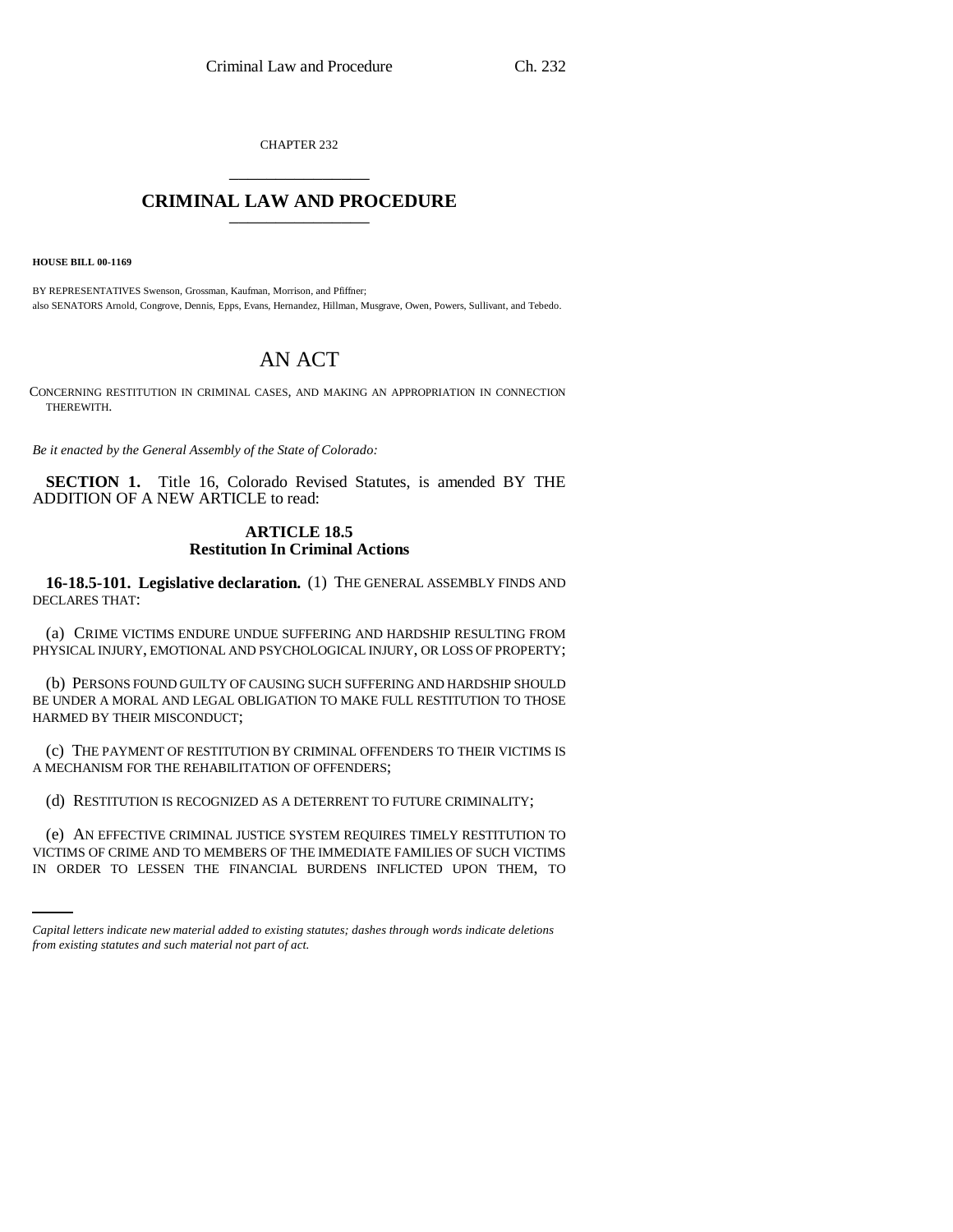CHAPTER 232 \_\_\_\_\_\_\_\_\_\_\_\_\_\_\_

## **CRIMINAL LAW AND PROCEDURE** \_\_\_\_\_\_\_\_\_\_\_\_\_\_\_

**HOUSE BILL 00-1169** 

BY REPRESENTATIVES Swenson, Grossman, Kaufman, Morrison, and Pfiffner; also SENATORS Arnold, Congrove, Dennis, Epps, Evans, Hernandez, Hillman, Musgrave, Owen, Powers, Sullivant, and Tebedo.

# AN ACT

CONCERNING RESTITUTION IN CRIMINAL CASES, AND MAKING AN APPROPRIATION IN CONNECTION THEREWITH.

*Be it enacted by the General Assembly of the State of Colorado:*

**SECTION 1.** Title 16, Colorado Revised Statutes, is amended BY THE ADDITION OF A NEW ARTICLE to read:

## **ARTICLE 18.5 Restitution In Criminal Actions**

**16-18.5-101. Legislative declaration.** (1) THE GENERAL ASSEMBLY FINDS AND DECLARES THAT:

(a) CRIME VICTIMS ENDURE UNDUE SUFFERING AND HARDSHIP RESULTING FROM PHYSICAL INJURY, EMOTIONAL AND PSYCHOLOGICAL INJURY, OR LOSS OF PROPERTY;

(b) PERSONS FOUND GUILTY OF CAUSING SUCH SUFFERING AND HARDSHIP SHOULD BE UNDER A MORAL AND LEGAL OBLIGATION TO MAKE FULL RESTITUTION TO THOSE HARMED BY THEIR MISCONDUCT;

(c) THE PAYMENT OF RESTITUTION BY CRIMINAL OFFENDERS TO THEIR VICTIMS IS A MECHANISM FOR THE REHABILITATION OF OFFENDERS;

(d) RESTITUTION IS RECOGNIZED AS A DETERRENT TO FUTURE CRIMINALITY;

(e) AN EFFECTIVE CRIMINAL JUSTICE SYSTEM REQUIRES TIMELY RESTITUTION TO VICTIMS OF CRIME AND TO MEMBERS OF THE IMMEDIATE FAMILIES OF SUCH VICTIMS IN ORDER TO LESSEN THE FINANCIAL BURDENS INFLICTED UPON THEM, TO

*Capital letters indicate new material added to existing statutes; dashes through words indicate deletions from existing statutes and such material not part of act.*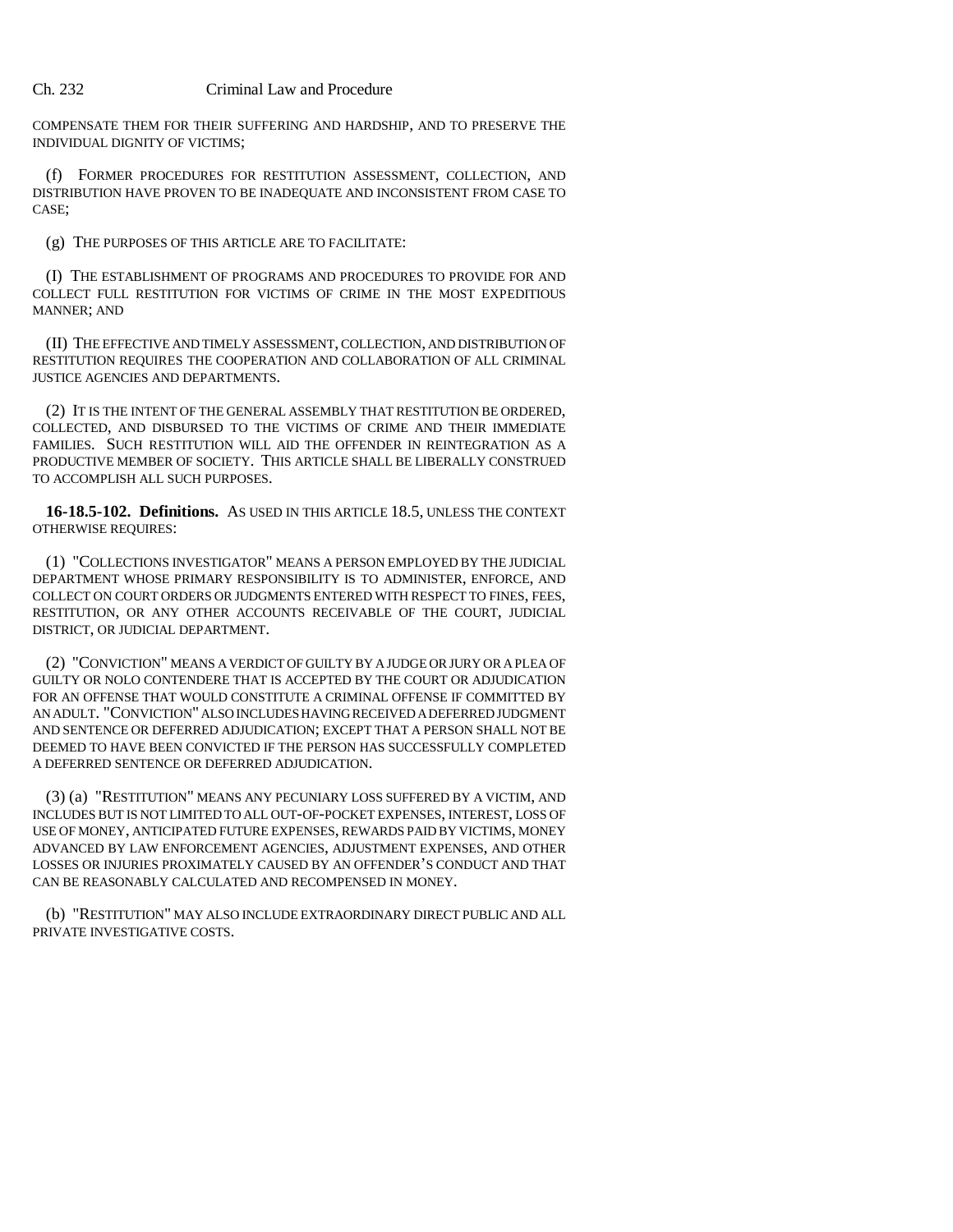COMPENSATE THEM FOR THEIR SUFFERING AND HARDSHIP, AND TO PRESERVE THE INDIVIDUAL DIGNITY OF VICTIMS;

(f) FORMER PROCEDURES FOR RESTITUTION ASSESSMENT, COLLECTION, AND DISTRIBUTION HAVE PROVEN TO BE INADEQUATE AND INCONSISTENT FROM CASE TO CASE;

(g) THE PURPOSES OF THIS ARTICLE ARE TO FACILITATE:

(I) THE ESTABLISHMENT OF PROGRAMS AND PROCEDURES TO PROVIDE FOR AND COLLECT FULL RESTITUTION FOR VICTIMS OF CRIME IN THE MOST EXPEDITIOUS MANNER; AND

(II) THE EFFECTIVE AND TIMELY ASSESSMENT, COLLECTION, AND DISTRIBUTION OF RESTITUTION REQUIRES THE COOPERATION AND COLLABORATION OF ALL CRIMINAL JUSTICE AGENCIES AND DEPARTMENTS.

(2) IT IS THE INTENT OF THE GENERAL ASSEMBLY THAT RESTITUTION BE ORDERED, COLLECTED, AND DISBURSED TO THE VICTIMS OF CRIME AND THEIR IMMEDIATE FAMILIES. SUCH RESTITUTION WILL AID THE OFFENDER IN REINTEGRATION AS A PRODUCTIVE MEMBER OF SOCIETY. THIS ARTICLE SHALL BE LIBERALLY CONSTRUED TO ACCOMPLISH ALL SUCH PURPOSES.

**16-18.5-102. Definitions.** AS USED IN THIS ARTICLE 18.5, UNLESS THE CONTEXT OTHERWISE REQUIRES:

(1) "COLLECTIONS INVESTIGATOR" MEANS A PERSON EMPLOYED BY THE JUDICIAL DEPARTMENT WHOSE PRIMARY RESPONSIBILITY IS TO ADMINISTER, ENFORCE, AND COLLECT ON COURT ORDERS OR JUDGMENTS ENTERED WITH RESPECT TO FINES, FEES, RESTITUTION, OR ANY OTHER ACCOUNTS RECEIVABLE OF THE COURT, JUDICIAL DISTRICT, OR JUDICIAL DEPARTMENT.

(2) "CONVICTION" MEANS A VERDICT OF GUILTY BY A JUDGE OR JURY OR A PLEA OF GUILTY OR NOLO CONTENDERE THAT IS ACCEPTED BY THE COURT OR ADJUDICATION FOR AN OFFENSE THAT WOULD CONSTITUTE A CRIMINAL OFFENSE IF COMMITTED BY AN ADULT. "CONVICTION" ALSO INCLUDES HAVING RECEIVED A DEFERRED JUDGMENT AND SENTENCE OR DEFERRED ADJUDICATION; EXCEPT THAT A PERSON SHALL NOT BE DEEMED TO HAVE BEEN CONVICTED IF THE PERSON HAS SUCCESSFULLY COMPLETED A DEFERRED SENTENCE OR DEFERRED ADJUDICATION.

(3) (a) "RESTITUTION" MEANS ANY PECUNIARY LOSS SUFFERED BY A VICTIM, AND INCLUDES BUT IS NOT LIMITED TO ALL OUT-OF-POCKET EXPENSES, INTEREST, LOSS OF USE OF MONEY, ANTICIPATED FUTURE EXPENSES, REWARDS PAID BY VICTIMS, MONEY ADVANCED BY LAW ENFORCEMENT AGENCIES, ADJUSTMENT EXPENSES, AND OTHER LOSSES OR INJURIES PROXIMATELY CAUSED BY AN OFFENDER'S CONDUCT AND THAT CAN BE REASONABLY CALCULATED AND RECOMPENSED IN MONEY.

(b) "RESTITUTION" MAY ALSO INCLUDE EXTRAORDINARY DIRECT PUBLIC AND ALL PRIVATE INVESTIGATIVE COSTS.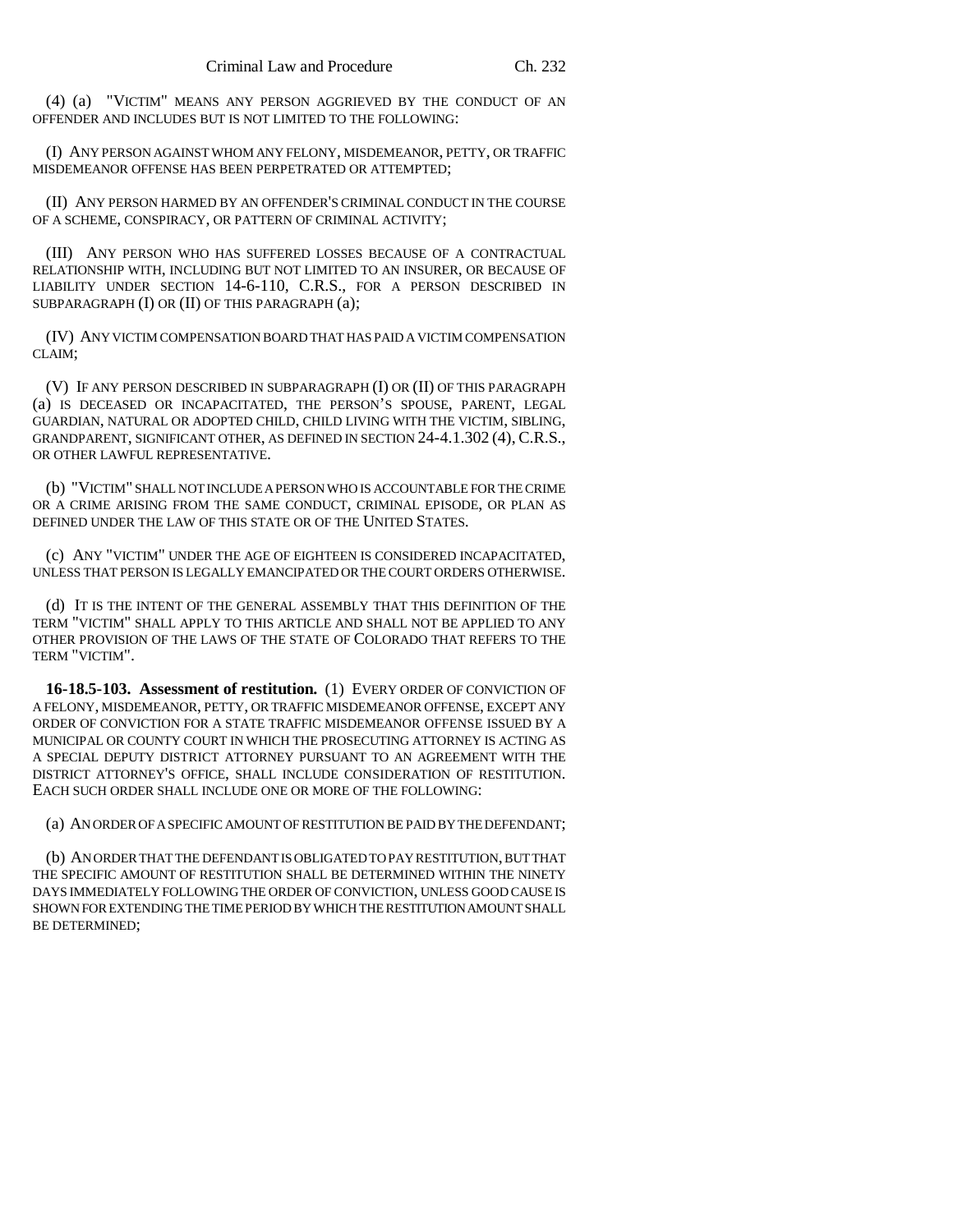(4) (a) "VICTIM" MEANS ANY PERSON AGGRIEVED BY THE CONDUCT OF AN OFFENDER AND INCLUDES BUT IS NOT LIMITED TO THE FOLLOWING:

(I) ANY PERSON AGAINST WHOM ANY FELONY, MISDEMEANOR, PETTY, OR TRAFFIC MISDEMEANOR OFFENSE HAS BEEN PERPETRATED OR ATTEMPTED;

(II) ANY PERSON HARMED BY AN OFFENDER'S CRIMINAL CONDUCT IN THE COURSE OF A SCHEME, CONSPIRACY, OR PATTERN OF CRIMINAL ACTIVITY;

(III) ANY PERSON WHO HAS SUFFERED LOSSES BECAUSE OF A CONTRACTUAL RELATIONSHIP WITH, INCLUDING BUT NOT LIMITED TO AN INSURER, OR BECAUSE OF LIABILITY UNDER SECTION 14-6-110, C.R.S., FOR A PERSON DESCRIBED IN SUBPARAGRAPH (I) OR (II) OF THIS PARAGRAPH (a);

(IV) ANY VICTIM COMPENSATION BOARD THAT HAS PAID A VICTIM COMPENSATION CLAIM;

(V) IF ANY PERSON DESCRIBED IN SUBPARAGRAPH (I) OR (II) OF THIS PARAGRAPH (a) IS DECEASED OR INCAPACITATED, THE PERSON'S SPOUSE, PARENT, LEGAL GUARDIAN, NATURAL OR ADOPTED CHILD, CHILD LIVING WITH THE VICTIM, SIBLING, GRANDPARENT, SIGNIFICANT OTHER, AS DEFINED IN SECTION 24-4.1.302 (4), C.R.S., OR OTHER LAWFUL REPRESENTATIVE.

(b) "VICTIM" SHALL NOT INCLUDE A PERSON WHO IS ACCOUNTABLE FOR THE CRIME OR A CRIME ARISING FROM THE SAME CONDUCT, CRIMINAL EPISODE, OR PLAN AS DEFINED UNDER THE LAW OF THIS STATE OR OF THE UNITED STATES.

(c) ANY "VICTIM" UNDER THE AGE OF EIGHTEEN IS CONSIDERED INCAPACITATED, UNLESS THAT PERSON IS LEGALLY EMANCIPATED OR THE COURT ORDERS OTHERWISE.

(d) IT IS THE INTENT OF THE GENERAL ASSEMBLY THAT THIS DEFINITION OF THE TERM "VICTIM" SHALL APPLY TO THIS ARTICLE AND SHALL NOT BE APPLIED TO ANY OTHER PROVISION OF THE LAWS OF THE STATE OF COLORADO THAT REFERS TO THE TERM "VICTIM".

**16-18.5-103. Assessment of restitution.** (1) EVERY ORDER OF CONVICTION OF A FELONY, MISDEMEANOR, PETTY, OR TRAFFIC MISDEMEANOR OFFENSE, EXCEPT ANY ORDER OF CONVICTION FOR A STATE TRAFFIC MISDEMEANOR OFFENSE ISSUED BY A MUNICIPAL OR COUNTY COURT IN WHICH THE PROSECUTING ATTORNEY IS ACTING AS A SPECIAL DEPUTY DISTRICT ATTORNEY PURSUANT TO AN AGREEMENT WITH THE DISTRICT ATTORNEY'S OFFICE, SHALL INCLUDE CONSIDERATION OF RESTITUTION. EACH SUCH ORDER SHALL INCLUDE ONE OR MORE OF THE FOLLOWING:

(a) AN ORDER OF A SPECIFIC AMOUNT OF RESTITUTION BE PAID BY THE DEFENDANT;

(b) AN ORDER THAT THE DEFENDANT IS OBLIGATED TO PAY RESTITUTION, BUT THAT THE SPECIFIC AMOUNT OF RESTITUTION SHALL BE DETERMINED WITHIN THE NINETY DAYS IMMEDIATELY FOLLOWING THE ORDER OF CONVICTION, UNLESS GOOD CAUSE IS SHOWN FOR EXTENDING THE TIME PERIOD BY WHICH THE RESTITUTION AMOUNT SHALL BE DETERMINED;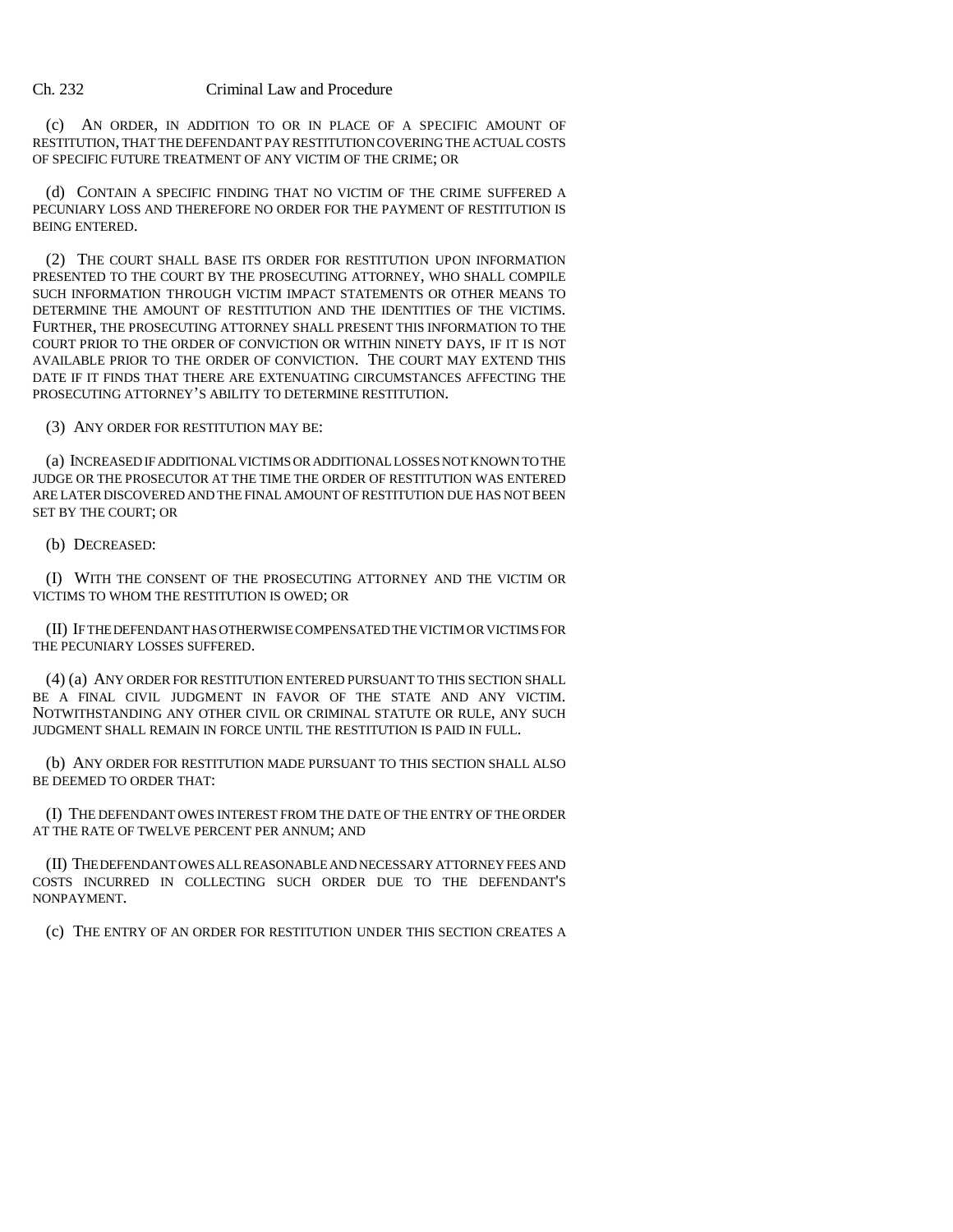(c) AN ORDER, IN ADDITION TO OR IN PLACE OF A SPECIFIC AMOUNT OF RESTITUTION, THAT THE DEFENDANT PAY RESTITUTION COVERING THE ACTUAL COSTS OF SPECIFIC FUTURE TREATMENT OF ANY VICTIM OF THE CRIME; OR

(d) CONTAIN A SPECIFIC FINDING THAT NO VICTIM OF THE CRIME SUFFERED A PECUNIARY LOSS AND THEREFORE NO ORDER FOR THE PAYMENT OF RESTITUTION IS BEING ENTERED.

(2) THE COURT SHALL BASE ITS ORDER FOR RESTITUTION UPON INFORMATION PRESENTED TO THE COURT BY THE PROSECUTING ATTORNEY, WHO SHALL COMPILE SUCH INFORMATION THROUGH VICTIM IMPACT STATEMENTS OR OTHER MEANS TO DETERMINE THE AMOUNT OF RESTITUTION AND THE IDENTITIES OF THE VICTIMS. FURTHER, THE PROSECUTING ATTORNEY SHALL PRESENT THIS INFORMATION TO THE COURT PRIOR TO THE ORDER OF CONVICTION OR WITHIN NINETY DAYS, IF IT IS NOT AVAILABLE PRIOR TO THE ORDER OF CONVICTION. THE COURT MAY EXTEND THIS DATE IF IT FINDS THAT THERE ARE EXTENUATING CIRCUMSTANCES AFFECTING THE PROSECUTING ATTORNEY'S ABILITY TO DETERMINE RESTITUTION.

(3) ANY ORDER FOR RESTITUTION MAY BE:

(a) INCREASED IF ADDITIONAL VICTIMS OR ADDITIONAL LOSSES NOT KNOWN TO THE JUDGE OR THE PROSECUTOR AT THE TIME THE ORDER OF RESTITUTION WAS ENTERED ARE LATER DISCOVERED AND THE FINAL AMOUNT OF RESTITUTION DUE HAS NOT BEEN SET BY THE COURT; OR

(b) DECREASED:

(I) WITH THE CONSENT OF THE PROSECUTING ATTORNEY AND THE VICTIM OR VICTIMS TO WHOM THE RESTITUTION IS OWED; OR

(II) IF THE DEFENDANT HAS OTHERWISE COMPENSATED THE VICTIM OR VICTIMS FOR THE PECUNIARY LOSSES SUFFERED.

(4) (a) ANY ORDER FOR RESTITUTION ENTERED PURSUANT TO THIS SECTION SHALL BE A FINAL CIVIL JUDGMENT IN FAVOR OF THE STATE AND ANY VICTIM. NOTWITHSTANDING ANY OTHER CIVIL OR CRIMINAL STATUTE OR RULE, ANY SUCH JUDGMENT SHALL REMAIN IN FORCE UNTIL THE RESTITUTION IS PAID IN FULL.

(b) ANY ORDER FOR RESTITUTION MADE PURSUANT TO THIS SECTION SHALL ALSO BE DEEMED TO ORDER THAT:

(I) THE DEFENDANT OWES INTEREST FROM THE DATE OF THE ENTRY OF THE ORDER AT THE RATE OF TWELVE PERCENT PER ANNUM; AND

(II) THE DEFENDANT OWES ALL REASONABLE AND NECESSARY ATTORNEY FEES AND COSTS INCURRED IN COLLECTING SUCH ORDER DUE TO THE DEFENDANT'S NONPAYMENT.

(c) THE ENTRY OF AN ORDER FOR RESTITUTION UNDER THIS SECTION CREATES A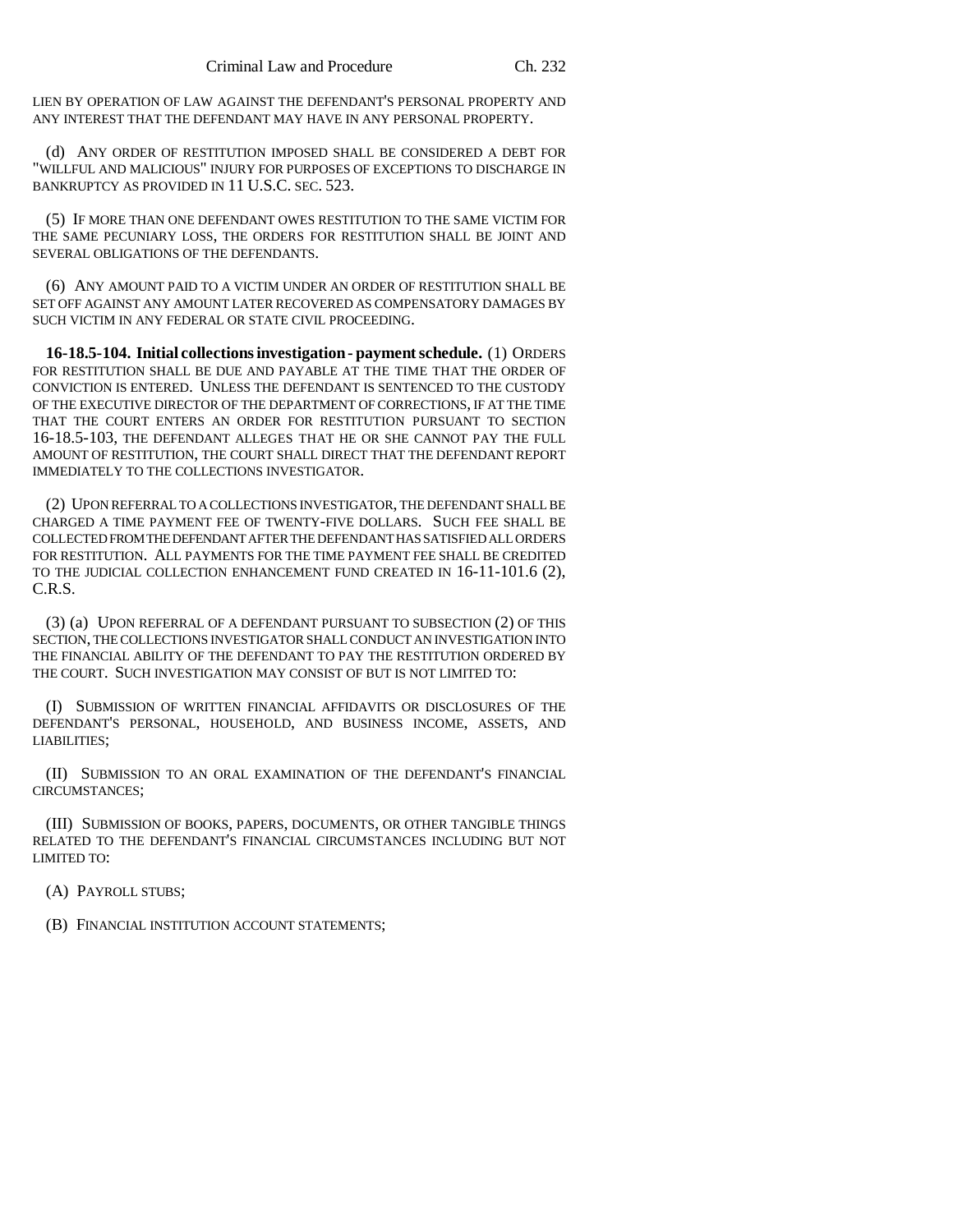LIEN BY OPERATION OF LAW AGAINST THE DEFENDANT'S PERSONAL PROPERTY AND ANY INTEREST THAT THE DEFENDANT MAY HAVE IN ANY PERSONAL PROPERTY.

(d) ANY ORDER OF RESTITUTION IMPOSED SHALL BE CONSIDERED A DEBT FOR "WILLFUL AND MALICIOUS" INJURY FOR PURPOSES OF EXCEPTIONS TO DISCHARGE IN BANKRUPTCY AS PROVIDED IN 11 U.S.C. SEC. 523.

(5) IF MORE THAN ONE DEFENDANT OWES RESTITUTION TO THE SAME VICTIM FOR THE SAME PECUNIARY LOSS, THE ORDERS FOR RESTITUTION SHALL BE JOINT AND SEVERAL OBLIGATIONS OF THE DEFENDANTS.

(6) ANY AMOUNT PAID TO A VICTIM UNDER AN ORDER OF RESTITUTION SHALL BE SET OFF AGAINST ANY AMOUNT LATER RECOVERED AS COMPENSATORY DAMAGES BY SUCH VICTIM IN ANY FEDERAL OR STATE CIVIL PROCEEDING.

**16-18.5-104. Initial collections investigation - payment schedule.** (1) ORDERS FOR RESTITUTION SHALL BE DUE AND PAYABLE AT THE TIME THAT THE ORDER OF CONVICTION IS ENTERED. UNLESS THE DEFENDANT IS SENTENCED TO THE CUSTODY OF THE EXECUTIVE DIRECTOR OF THE DEPARTMENT OF CORRECTIONS, IF AT THE TIME THAT THE COURT ENTERS AN ORDER FOR RESTITUTION PURSUANT TO SECTION 16-18.5-103, THE DEFENDANT ALLEGES THAT HE OR SHE CANNOT PAY THE FULL AMOUNT OF RESTITUTION, THE COURT SHALL DIRECT THAT THE DEFENDANT REPORT IMMEDIATELY TO THE COLLECTIONS INVESTIGATOR.

(2) UPON REFERRAL TO A COLLECTIONS INVESTIGATOR, THE DEFENDANT SHALL BE CHARGED A TIME PAYMENT FEE OF TWENTY-FIVE DOLLARS. SUCH FEE SHALL BE COLLECTED FROM THE DEFENDANT AFTER THE DEFENDANT HAS SATISFIED ALL ORDERS FOR RESTITUTION. ALL PAYMENTS FOR THE TIME PAYMENT FEE SHALL BE CREDITED TO THE JUDICIAL COLLECTION ENHANCEMENT FUND CREATED IN 16-11-101.6 (2), C.R.S.

(3) (a) UPON REFERRAL OF A DEFENDANT PURSUANT TO SUBSECTION (2) OF THIS SECTION, THE COLLECTIONS INVESTIGATOR SHALL CONDUCT AN INVESTIGATION INTO THE FINANCIAL ABILITY OF THE DEFENDANT TO PAY THE RESTITUTION ORDERED BY THE COURT. SUCH INVESTIGATION MAY CONSIST OF BUT IS NOT LIMITED TO:

(I) SUBMISSION OF WRITTEN FINANCIAL AFFIDAVITS OR DISCLOSURES OF THE DEFENDANT'S PERSONAL, HOUSEHOLD, AND BUSINESS INCOME, ASSETS, AND LIABILITIES;

(II) SUBMISSION TO AN ORAL EXAMINATION OF THE DEFENDANT'S FINANCIAL CIRCUMSTANCES;

(III) SUBMISSION OF BOOKS, PAPERS, DOCUMENTS, OR OTHER TANGIBLE THINGS RELATED TO THE DEFENDANT'S FINANCIAL CIRCUMSTANCES INCLUDING BUT NOT LIMITED TO:

(A) PAYROLL STUBS;

(B) FINANCIAL INSTITUTION ACCOUNT STATEMENTS;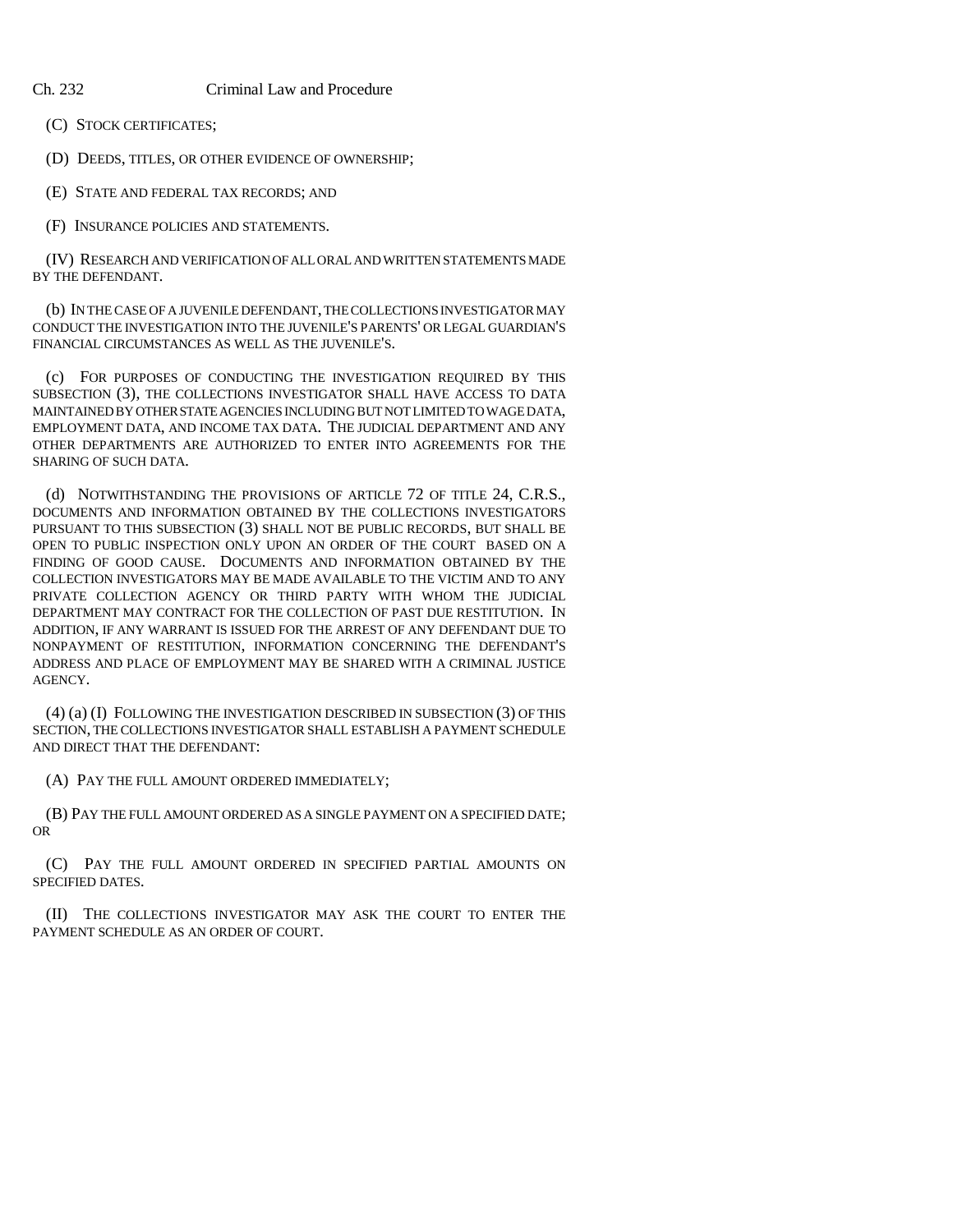(C) STOCK CERTIFICATES;

(D) DEEDS, TITLES, OR OTHER EVIDENCE OF OWNERSHIP;

(E) STATE AND FEDERAL TAX RECORDS; AND

(F) INSURANCE POLICIES AND STATEMENTS.

(IV) RESEARCH AND VERIFICATION OF ALL ORAL AND WRITTEN STATEMENTS MADE BY THE DEFENDANT.

(b) IN THE CASE OF A JUVENILE DEFENDANT, THE COLLECTIONS INVESTIGATOR MAY CONDUCT THE INVESTIGATION INTO THE JUVENILE'S PARENTS' OR LEGAL GUARDIAN'S FINANCIAL CIRCUMSTANCES AS WELL AS THE JUVENILE'S.

(c) FOR PURPOSES OF CONDUCTING THE INVESTIGATION REQUIRED BY THIS SUBSECTION (3), THE COLLECTIONS INVESTIGATOR SHALL HAVE ACCESS TO DATA MAINTAINED BY OTHER STATE AGENCIES INCLUDING BUT NOT LIMITED TO WAGE DATA, EMPLOYMENT DATA, AND INCOME TAX DATA. THE JUDICIAL DEPARTMENT AND ANY OTHER DEPARTMENTS ARE AUTHORIZED TO ENTER INTO AGREEMENTS FOR THE SHARING OF SUCH DATA.

(d) NOTWITHSTANDING THE PROVISIONS OF ARTICLE 72 OF TITLE 24, C.R.S., DOCUMENTS AND INFORMATION OBTAINED BY THE COLLECTIONS INVESTIGATORS PURSUANT TO THIS SUBSECTION (3) SHALL NOT BE PUBLIC RECORDS, BUT SHALL BE OPEN TO PUBLIC INSPECTION ONLY UPON AN ORDER OF THE COURT BASED ON A FINDING OF GOOD CAUSE. DOCUMENTS AND INFORMATION OBTAINED BY THE COLLECTION INVESTIGATORS MAY BE MADE AVAILABLE TO THE VICTIM AND TO ANY PRIVATE COLLECTION AGENCY OR THIRD PARTY WITH WHOM THE JUDICIAL DEPARTMENT MAY CONTRACT FOR THE COLLECTION OF PAST DUE RESTITUTION. IN ADDITION, IF ANY WARRANT IS ISSUED FOR THE ARREST OF ANY DEFENDANT DUE TO NONPAYMENT OF RESTITUTION, INFORMATION CONCERNING THE DEFENDANT'S ADDRESS AND PLACE OF EMPLOYMENT MAY BE SHARED WITH A CRIMINAL JUSTICE AGENCY.

(4) (a) (I) FOLLOWING THE INVESTIGATION DESCRIBED IN SUBSECTION (3) OF THIS SECTION, THE COLLECTIONS INVESTIGATOR SHALL ESTABLISH A PAYMENT SCHEDULE AND DIRECT THAT THE DEFENDANT:

(A) PAY THE FULL AMOUNT ORDERED IMMEDIATELY;

(B) PAY THE FULL AMOUNT ORDERED AS A SINGLE PAYMENT ON A SPECIFIED DATE; OR

(C) PAY THE FULL AMOUNT ORDERED IN SPECIFIED PARTIAL AMOUNTS ON SPECIFIED DATES.

(II) THE COLLECTIONS INVESTIGATOR MAY ASK THE COURT TO ENTER THE PAYMENT SCHEDULE AS AN ORDER OF COURT.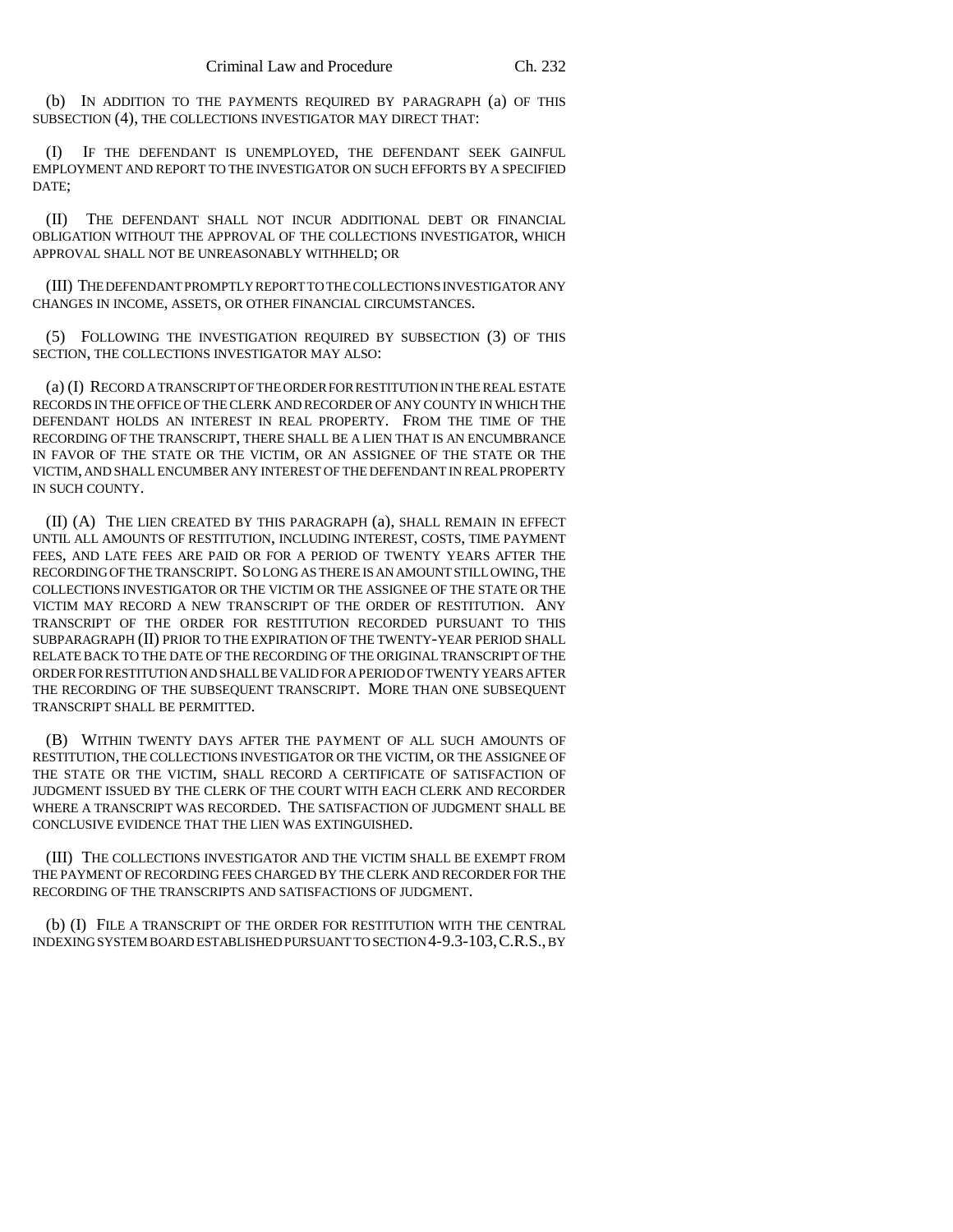(b) IN ADDITION TO THE PAYMENTS REQUIRED BY PARAGRAPH (a) OF THIS SUBSECTION (4), THE COLLECTIONS INVESTIGATOR MAY DIRECT THAT:

(I) IF THE DEFENDANT IS UNEMPLOYED, THE DEFENDANT SEEK GAINFUL EMPLOYMENT AND REPORT TO THE INVESTIGATOR ON SUCH EFFORTS BY A SPECIFIED DATE;

(II) THE DEFENDANT SHALL NOT INCUR ADDITIONAL DEBT OR FINANCIAL OBLIGATION WITHOUT THE APPROVAL OF THE COLLECTIONS INVESTIGATOR, WHICH APPROVAL SHALL NOT BE UNREASONABLY WITHHELD; OR

(III) THE DEFENDANT PROMPTLY REPORT TO THE COLLECTIONS INVESTIGATOR ANY CHANGES IN INCOME, ASSETS, OR OTHER FINANCIAL CIRCUMSTANCES.

(5) FOLLOWING THE INVESTIGATION REQUIRED BY SUBSECTION (3) OF THIS SECTION, THE COLLECTIONS INVESTIGATOR MAY ALSO:

(a) (I) RECORD A TRANSCRIPT OF THE ORDER FOR RESTITUTION IN THE REAL ESTATE RECORDS IN THE OFFICE OF THE CLERK AND RECORDER OF ANY COUNTY IN WHICH THE DEFENDANT HOLDS AN INTEREST IN REAL PROPERTY. FROM THE TIME OF THE RECORDING OF THE TRANSCRIPT, THERE SHALL BE A LIEN THAT IS AN ENCUMBRANCE IN FAVOR OF THE STATE OR THE VICTIM, OR AN ASSIGNEE OF THE STATE OR THE VICTIM, AND SHALL ENCUMBER ANY INTEREST OF THE DEFENDANT IN REAL PROPERTY IN SUCH COUNTY.

(II) (A) THE LIEN CREATED BY THIS PARAGRAPH (a), SHALL REMAIN IN EFFECT UNTIL ALL AMOUNTS OF RESTITUTION, INCLUDING INTEREST, COSTS, TIME PAYMENT FEES, AND LATE FEES ARE PAID OR FOR A PERIOD OF TWENTY YEARS AFTER THE RECORDING OF THE TRANSCRIPT. SO LONG AS THERE IS AN AMOUNT STILL OWING, THE COLLECTIONS INVESTIGATOR OR THE VICTIM OR THE ASSIGNEE OF THE STATE OR THE VICTIM MAY RECORD A NEW TRANSCRIPT OF THE ORDER OF RESTITUTION. ANY TRANSCRIPT OF THE ORDER FOR RESTITUTION RECORDED PURSUANT TO THIS SUBPARAGRAPH (II) PRIOR TO THE EXPIRATION OF THE TWENTY-YEAR PERIOD SHALL RELATE BACK TO THE DATE OF THE RECORDING OF THE ORIGINAL TRANSCRIPT OF THE ORDER FOR RESTITUTION AND SHALL BE VALID FOR A PERIOD OF TWENTY YEARS AFTER THE RECORDING OF THE SUBSEQUENT TRANSCRIPT. MORE THAN ONE SUBSEQUENT TRANSCRIPT SHALL BE PERMITTED.

(B) WITHIN TWENTY DAYS AFTER THE PAYMENT OF ALL SUCH AMOUNTS OF RESTITUTION, THE COLLECTIONS INVESTIGATOR OR THE VICTIM, OR THE ASSIGNEE OF THE STATE OR THE VICTIM, SHALL RECORD A CERTIFICATE OF SATISFACTION OF JUDGMENT ISSUED BY THE CLERK OF THE COURT WITH EACH CLERK AND RECORDER WHERE A TRANSCRIPT WAS RECORDED. THE SATISFACTION OF JUDGMENT SHALL BE CONCLUSIVE EVIDENCE THAT THE LIEN WAS EXTINGUISHED.

(III) THE COLLECTIONS INVESTIGATOR AND THE VICTIM SHALL BE EXEMPT FROM THE PAYMENT OF RECORDING FEES CHARGED BY THE CLERK AND RECORDER FOR THE RECORDING OF THE TRANSCRIPTS AND SATISFACTIONS OF JUDGMENT.

(b) (I) FILE A TRANSCRIPT OF THE ORDER FOR RESTITUTION WITH THE CENTRAL INDEXING SYSTEM BOARD ESTABLISHED PURSUANT TO SECTION 4-9.3-103,C.R.S., BY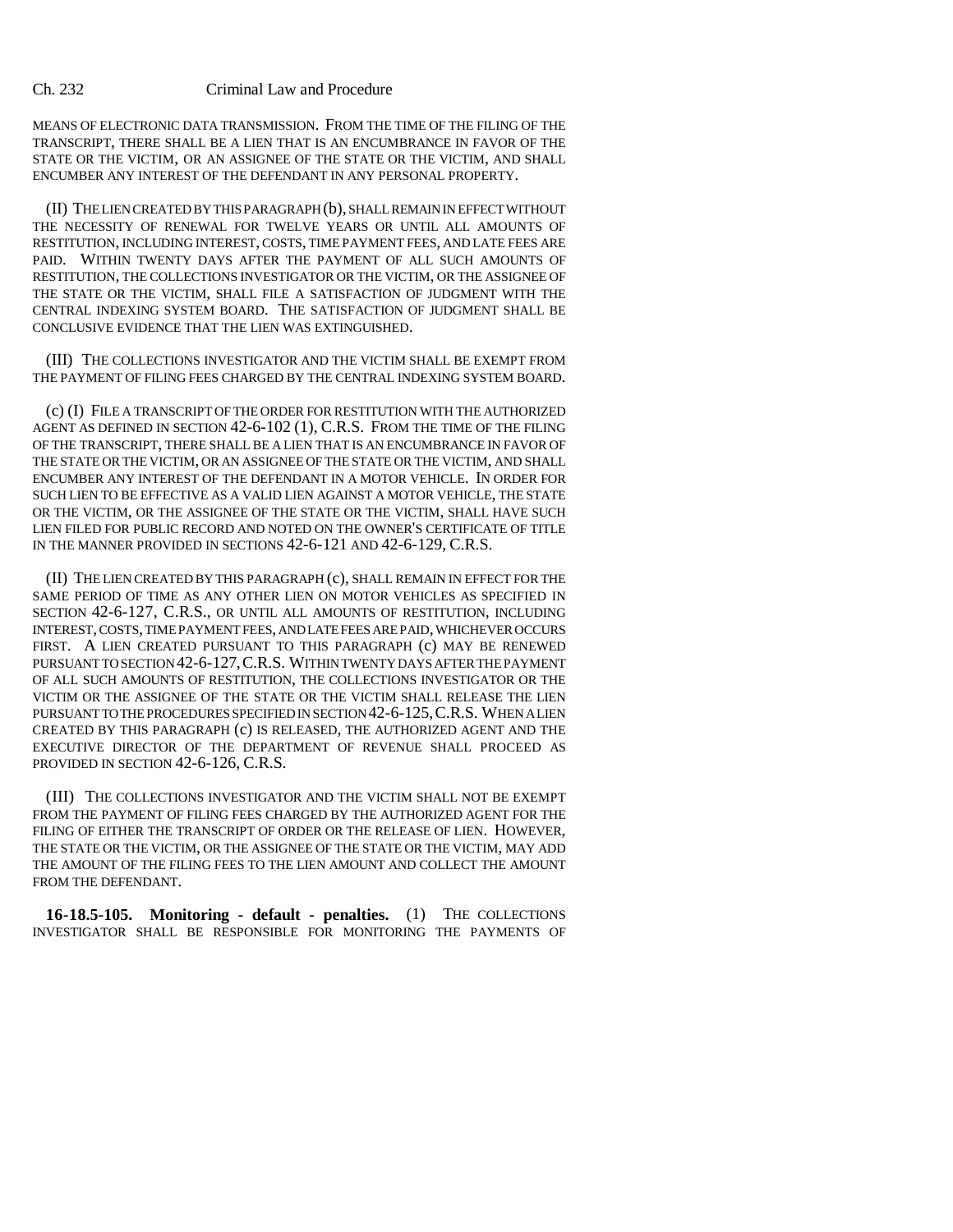MEANS OF ELECTRONIC DATA TRANSMISSION. FROM THE TIME OF THE FILING OF THE TRANSCRIPT, THERE SHALL BE A LIEN THAT IS AN ENCUMBRANCE IN FAVOR OF THE STATE OR THE VICTIM, OR AN ASSIGNEE OF THE STATE OR THE VICTIM, AND SHALL ENCUMBER ANY INTEREST OF THE DEFENDANT IN ANY PERSONAL PROPERTY.

(II) THE LIEN CREATED BY THIS PARAGRAPH (b), SHALL REMAIN IN EFFECT WITHOUT THE NECESSITY OF RENEWAL FOR TWELVE YEARS OR UNTIL ALL AMOUNTS OF RESTITUTION, INCLUDING INTEREST, COSTS, TIME PAYMENT FEES, AND LATE FEES ARE PAID. WITHIN TWENTY DAYS AFTER THE PAYMENT OF ALL SUCH AMOUNTS OF RESTITUTION, THE COLLECTIONS INVESTIGATOR OR THE VICTIM, OR THE ASSIGNEE OF THE STATE OR THE VICTIM, SHALL FILE A SATISFACTION OF JUDGMENT WITH THE CENTRAL INDEXING SYSTEM BOARD. THE SATISFACTION OF JUDGMENT SHALL BE CONCLUSIVE EVIDENCE THAT THE LIEN WAS EXTINGUISHED.

(III) THE COLLECTIONS INVESTIGATOR AND THE VICTIM SHALL BE EXEMPT FROM THE PAYMENT OF FILING FEES CHARGED BY THE CENTRAL INDEXING SYSTEM BOARD.

(c) (I) FILE A TRANSCRIPT OF THE ORDER FOR RESTITUTION WITH THE AUTHORIZED AGENT AS DEFINED IN SECTION 42-6-102 (1), C.R.S. FROM THE TIME OF THE FILING OF THE TRANSCRIPT, THERE SHALL BE A LIEN THAT IS AN ENCUMBRANCE IN FAVOR OF THE STATE OR THE VICTIM, OR AN ASSIGNEE OF THE STATE OR THE VICTIM, AND SHALL ENCUMBER ANY INTEREST OF THE DEFENDANT IN A MOTOR VEHICLE. IN ORDER FOR SUCH LIEN TO BE EFFECTIVE AS A VALID LIEN AGAINST A MOTOR VEHICLE, THE STATE OR THE VICTIM, OR THE ASSIGNEE OF THE STATE OR THE VICTIM, SHALL HAVE SUCH LIEN FILED FOR PUBLIC RECORD AND NOTED ON THE OWNER'S CERTIFICATE OF TITLE IN THE MANNER PROVIDED IN SECTIONS 42-6-121 AND 42-6-129, C.R.S.

(II) THE LIEN CREATED BY THIS PARAGRAPH (c), SHALL REMAIN IN EFFECT FOR THE SAME PERIOD OF TIME AS ANY OTHER LIEN ON MOTOR VEHICLES AS SPECIFIED IN SECTION 42-6-127, C.R.S., OR UNTIL ALL AMOUNTS OF RESTITUTION, INCLUDING INTEREST, COSTS, TIME PAYMENT FEES, AND LATE FEES ARE PAID, WHICHEVER OCCURS FIRST. A LIEN CREATED PURSUANT TO THIS PARAGRAPH (c) MAY BE RENEWED PURSUANT TO SECTION 42-6-127,C.R.S. WITHIN TWENTY DAYS AFTER THE PAYMENT OF ALL SUCH AMOUNTS OF RESTITUTION, THE COLLECTIONS INVESTIGATOR OR THE VICTIM OR THE ASSIGNEE OF THE STATE OR THE VICTIM SHALL RELEASE THE LIEN PURSUANT TO THE PROCEDURES SPECIFIED IN SECTION 42-6-125,C.R.S. WHEN A LIEN CREATED BY THIS PARAGRAPH (c) IS RELEASED, THE AUTHORIZED AGENT AND THE EXECUTIVE DIRECTOR OF THE DEPARTMENT OF REVENUE SHALL PROCEED AS PROVIDED IN SECTION 42-6-126, C.R.S.

(III) THE COLLECTIONS INVESTIGATOR AND THE VICTIM SHALL NOT BE EXEMPT FROM THE PAYMENT OF FILING FEES CHARGED BY THE AUTHORIZED AGENT FOR THE FILING OF EITHER THE TRANSCRIPT OF ORDER OR THE RELEASE OF LIEN. HOWEVER, THE STATE OR THE VICTIM, OR THE ASSIGNEE OF THE STATE OR THE VICTIM, MAY ADD THE AMOUNT OF THE FILING FEES TO THE LIEN AMOUNT AND COLLECT THE AMOUNT FROM THE DEFENDANT.

**16-18.5-105. Monitoring - default - penalties.** (1) THE COLLECTIONS INVESTIGATOR SHALL BE RESPONSIBLE FOR MONITORING THE PAYMENTS OF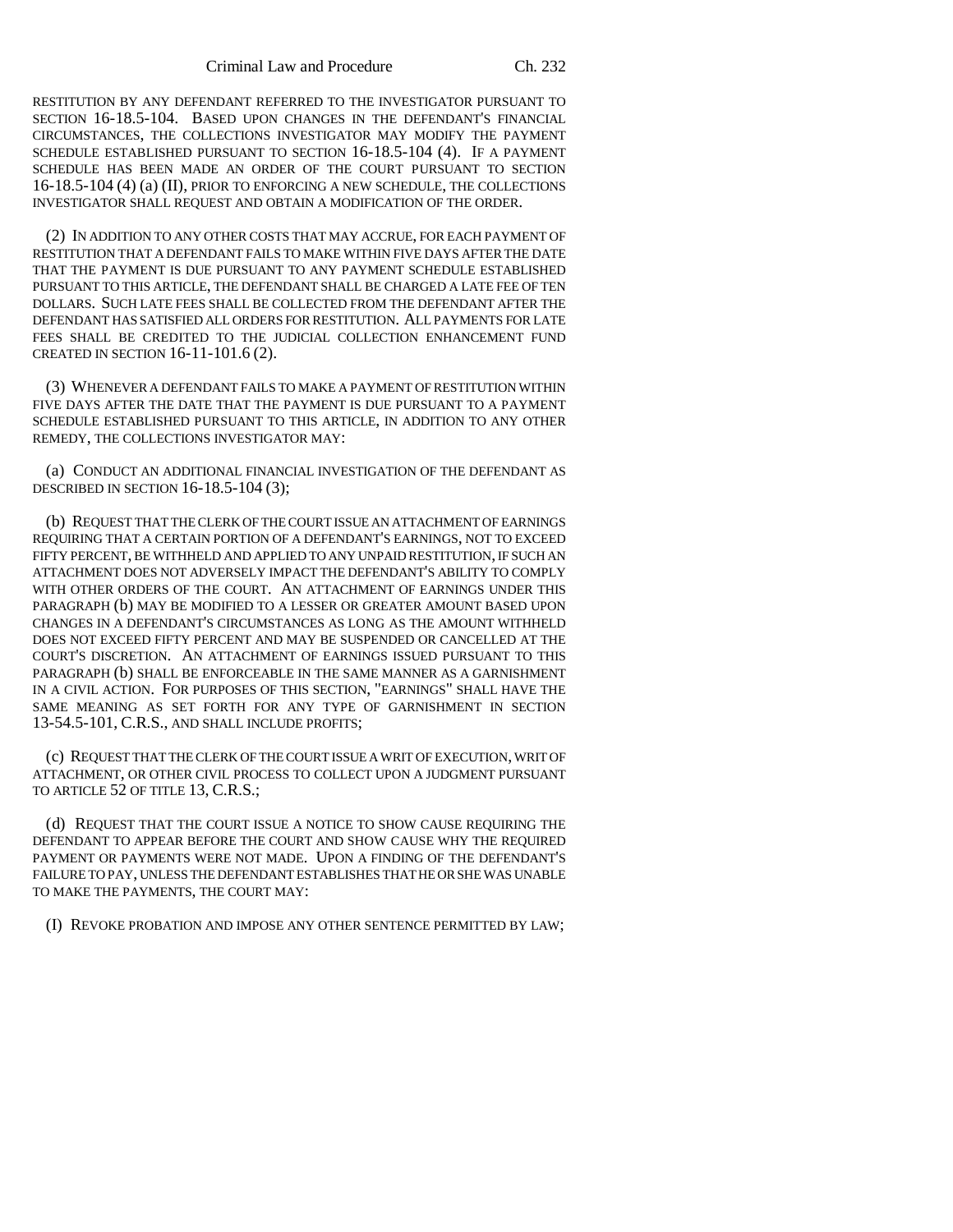RESTITUTION BY ANY DEFENDANT REFERRED TO THE INVESTIGATOR PURSUANT TO SECTION 16-18.5-104. BASED UPON CHANGES IN THE DEFENDANT'S FINANCIAL CIRCUMSTANCES, THE COLLECTIONS INVESTIGATOR MAY MODIFY THE PAYMENT SCHEDULE ESTABLISHED PURSUANT TO SECTION 16-18.5-104 (4). IF A PAYMENT SCHEDULE HAS BEEN MADE AN ORDER OF THE COURT PURSUANT TO SECTION 16-18.5-104 (4) (a) (II), PRIOR TO ENFORCING A NEW SCHEDULE, THE COLLECTIONS INVESTIGATOR SHALL REQUEST AND OBTAIN A MODIFICATION OF THE ORDER.

(2) IN ADDITION TO ANY OTHER COSTS THAT MAY ACCRUE, FOR EACH PAYMENT OF RESTITUTION THAT A DEFENDANT FAILS TO MAKE WITHIN FIVE DAYS AFTER THE DATE THAT THE PAYMENT IS DUE PURSUANT TO ANY PAYMENT SCHEDULE ESTABLISHED PURSUANT TO THIS ARTICLE, THE DEFENDANT SHALL BE CHARGED A LATE FEE OF TEN DOLLARS. SUCH LATE FEES SHALL BE COLLECTED FROM THE DEFENDANT AFTER THE DEFENDANT HAS SATISFIED ALL ORDERS FOR RESTITUTION. ALL PAYMENTS FOR LATE FEES SHALL BE CREDITED TO THE JUDICIAL COLLECTION ENHANCEMENT FUND CREATED IN SECTION 16-11-101.6 (2).

(3) WHENEVER A DEFENDANT FAILS TO MAKE A PAYMENT OF RESTITUTION WITHIN FIVE DAYS AFTER THE DATE THAT THE PAYMENT IS DUE PURSUANT TO A PAYMENT SCHEDULE ESTABLISHED PURSUANT TO THIS ARTICLE, IN ADDITION TO ANY OTHER REMEDY, THE COLLECTIONS INVESTIGATOR MAY:

(a) CONDUCT AN ADDITIONAL FINANCIAL INVESTIGATION OF THE DEFENDANT AS DESCRIBED IN SECTION 16-18.5-104 (3);

(b) REQUEST THAT THE CLERK OF THE COURT ISSUE AN ATTACHMENT OF EARNINGS REQUIRING THAT A CERTAIN PORTION OF A DEFENDANT'S EARNINGS, NOT TO EXCEED FIFTY PERCENT, BE WITHHELD AND APPLIED TO ANY UNPAID RESTITUTION, IF SUCH AN ATTACHMENT DOES NOT ADVERSELY IMPACT THE DEFENDANT'S ABILITY TO COMPLY WITH OTHER ORDERS OF THE COURT. AN ATTACHMENT OF EARNINGS UNDER THIS PARAGRAPH (b) MAY BE MODIFIED TO A LESSER OR GREATER AMOUNT BASED UPON CHANGES IN A DEFENDANT'S CIRCUMSTANCES AS LONG AS THE AMOUNT WITHHELD DOES NOT EXCEED FIFTY PERCENT AND MAY BE SUSPENDED OR CANCELLED AT THE COURT'S DISCRETION. AN ATTACHMENT OF EARNINGS ISSUED PURSUANT TO THIS PARAGRAPH (b) SHALL BE ENFORCEABLE IN THE SAME MANNER AS A GARNISHMENT IN A CIVIL ACTION. FOR PURPOSES OF THIS SECTION, "EARNINGS" SHALL HAVE THE SAME MEANING AS SET FORTH FOR ANY TYPE OF GARNISHMENT IN SECTION 13-54.5-101, C.R.S., AND SHALL INCLUDE PROFITS;

(c) REQUEST THAT THE CLERK OF THE COURT ISSUE A WRIT OF EXECUTION, WRIT OF ATTACHMENT, OR OTHER CIVIL PROCESS TO COLLECT UPON A JUDGMENT PURSUANT TO ARTICLE 52 OF TITLE 13, C.R.S.;

(d) REQUEST THAT THE COURT ISSUE A NOTICE TO SHOW CAUSE REQUIRING THE DEFENDANT TO APPEAR BEFORE THE COURT AND SHOW CAUSE WHY THE REQUIRED PAYMENT OR PAYMENTS WERE NOT MADE. UPON A FINDING OF THE DEFENDANT'S FAILURE TO PAY, UNLESS THE DEFENDANT ESTABLISHES THAT HE OR SHE WAS UNABLE TO MAKE THE PAYMENTS, THE COURT MAY:

(I) REVOKE PROBATION AND IMPOSE ANY OTHER SENTENCE PERMITTED BY LAW;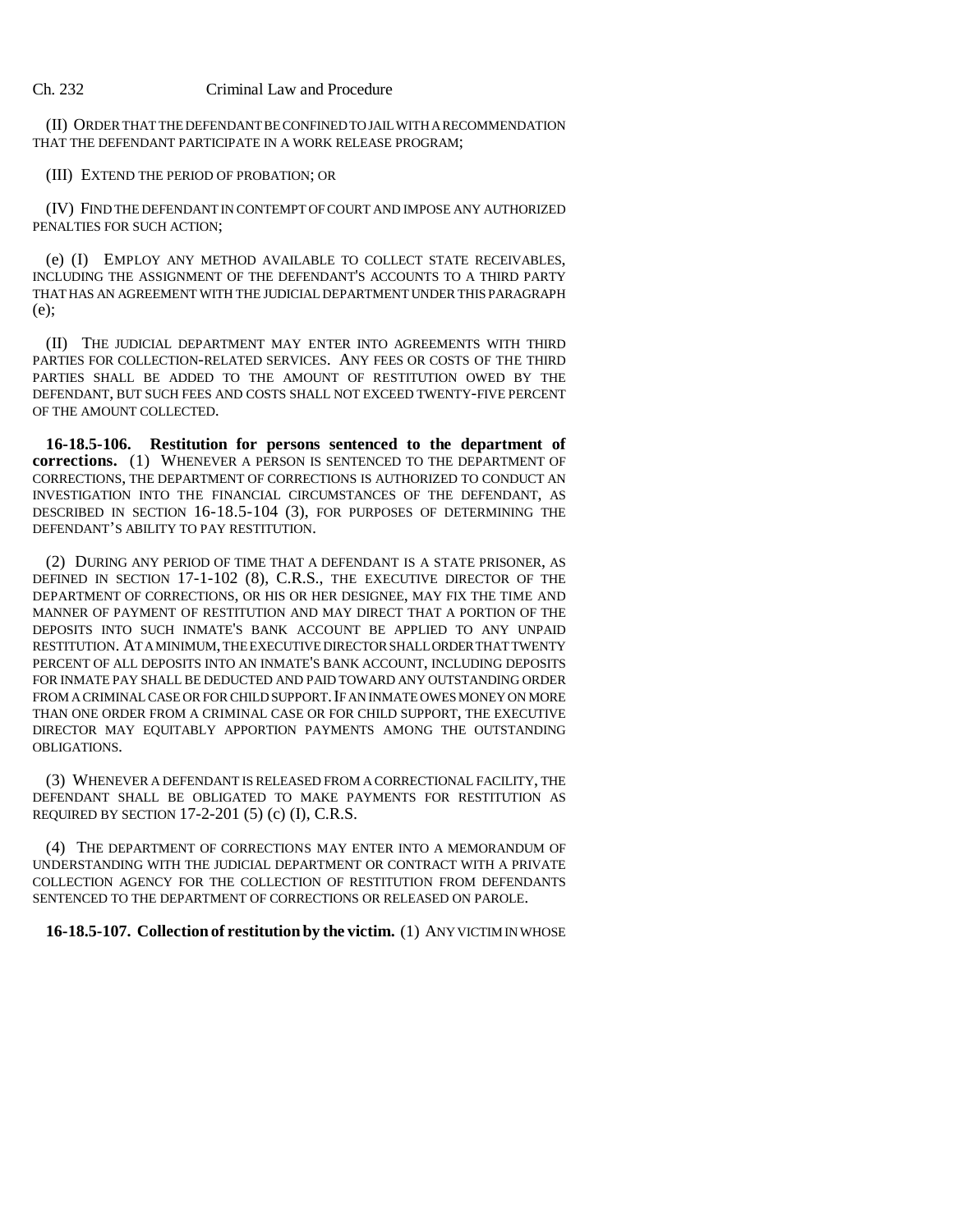(II) ORDER THAT THE DEFENDANT BE CONFINED TO JAIL WITH A RECOMMENDATION THAT THE DEFENDANT PARTICIPATE IN A WORK RELEASE PROGRAM;

(III) EXTEND THE PERIOD OF PROBATION; OR

(IV) FIND THE DEFENDANT IN CONTEMPT OF COURT AND IMPOSE ANY AUTHORIZED PENALTIES FOR SUCH ACTION;

(e) (I) EMPLOY ANY METHOD AVAILABLE TO COLLECT STATE RECEIVABLES, INCLUDING THE ASSIGNMENT OF THE DEFENDANT'S ACCOUNTS TO A THIRD PARTY THAT HAS AN AGREEMENT WITH THE JUDICIAL DEPARTMENT UNDER THIS PARAGRAPH (e);

(II) THE JUDICIAL DEPARTMENT MAY ENTER INTO AGREEMENTS WITH THIRD PARTIES FOR COLLECTION-RELATED SERVICES. ANY FEES OR COSTS OF THE THIRD PARTIES SHALL BE ADDED TO THE AMOUNT OF RESTITUTION OWED BY THE DEFENDANT, BUT SUCH FEES AND COSTS SHALL NOT EXCEED TWENTY-FIVE PERCENT OF THE AMOUNT COLLECTED.

**16-18.5-106. Restitution for persons sentenced to the department of corrections.** (1) WHENEVER A PERSON IS SENTENCED TO THE DEPARTMENT OF CORRECTIONS, THE DEPARTMENT OF CORRECTIONS IS AUTHORIZED TO CONDUCT AN INVESTIGATION INTO THE FINANCIAL CIRCUMSTANCES OF THE DEFENDANT, AS DESCRIBED IN SECTION 16-18.5-104 (3), FOR PURPOSES OF DETERMINING THE DEFENDANT'S ABILITY TO PAY RESTITUTION.

(2) DURING ANY PERIOD OF TIME THAT A DEFENDANT IS A STATE PRISONER, AS DEFINED IN SECTION 17-1-102 (8), C.R.S., THE EXECUTIVE DIRECTOR OF THE DEPARTMENT OF CORRECTIONS, OR HIS OR HER DESIGNEE, MAY FIX THE TIME AND MANNER OF PAYMENT OF RESTITUTION AND MAY DIRECT THAT A PORTION OF THE DEPOSITS INTO SUCH INMATE'S BANK ACCOUNT BE APPLIED TO ANY UNPAID RESTITUTION. AT A MINIMUM, THE EXECUTIVE DIRECTOR SHALL ORDER THAT TWENTY PERCENT OF ALL DEPOSITS INTO AN INMATE'S BANK ACCOUNT, INCLUDING DEPOSITS FOR INMATE PAY SHALL BE DEDUCTED AND PAID TOWARD ANY OUTSTANDING ORDER FROM A CRIMINAL CASE OR FOR CHILD SUPPORT. IF AN INMATE OWES MONEY ON MORE THAN ONE ORDER FROM A CRIMINAL CASE OR FOR CHILD SUPPORT, THE EXECUTIVE DIRECTOR MAY EQUITABLY APPORTION PAYMENTS AMONG THE OUTSTANDING OBLIGATIONS.

(3) WHENEVER A DEFENDANT IS RELEASED FROM A CORRECTIONAL FACILITY, THE DEFENDANT SHALL BE OBLIGATED TO MAKE PAYMENTS FOR RESTITUTION AS REQUIRED BY SECTION 17-2-201 (5) (c) (I), C.R.S.

(4) THE DEPARTMENT OF CORRECTIONS MAY ENTER INTO A MEMORANDUM OF UNDERSTANDING WITH THE JUDICIAL DEPARTMENT OR CONTRACT WITH A PRIVATE COLLECTION AGENCY FOR THE COLLECTION OF RESTITUTION FROM DEFENDANTS SENTENCED TO THE DEPARTMENT OF CORRECTIONS OR RELEASED ON PAROLE.

**16-18.5-107. Collection of restitution by the victim.** (1) ANY VICTIM IN WHOSE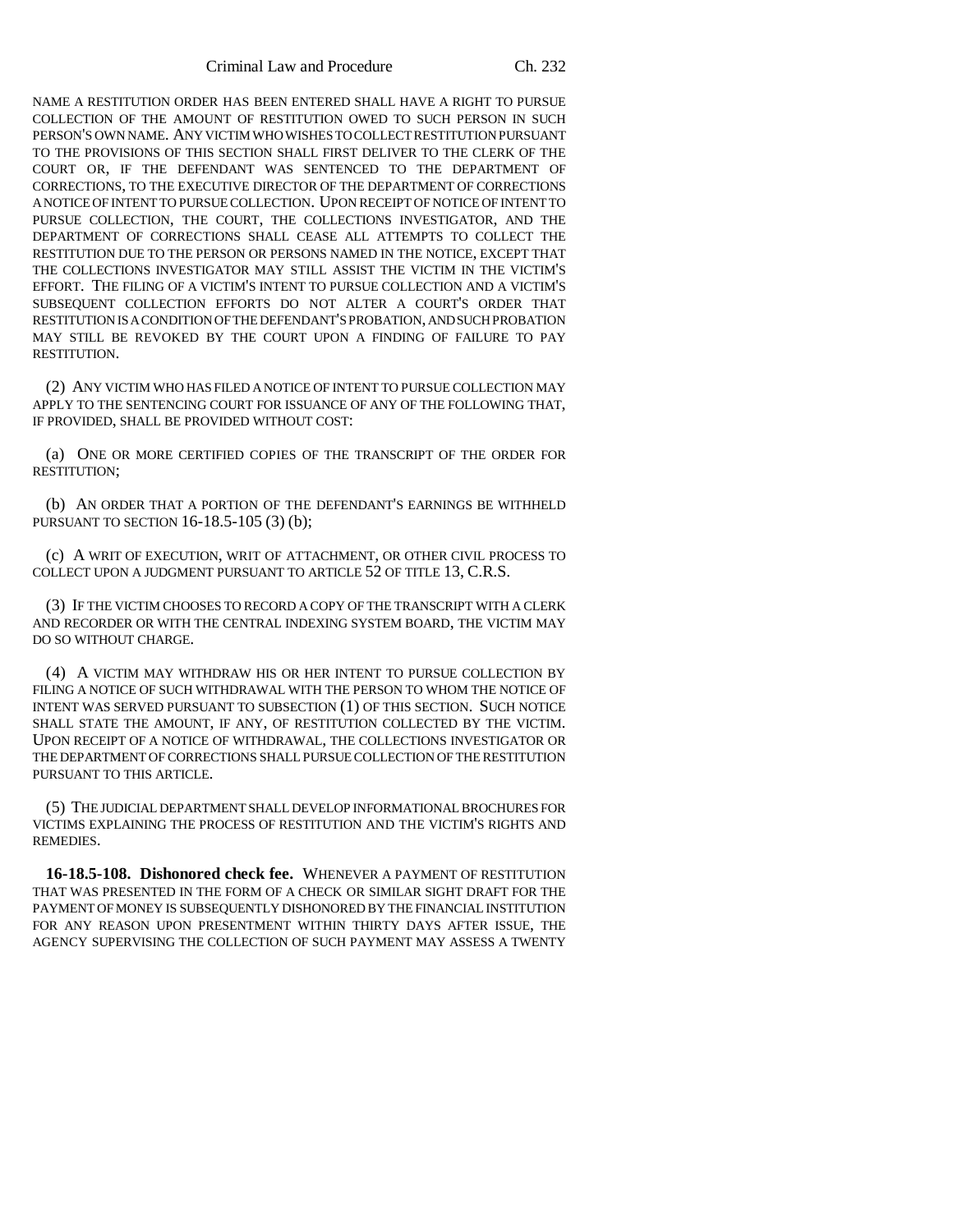Criminal Law and Procedure Ch. 232

NAME A RESTITUTION ORDER HAS BEEN ENTERED SHALL HAVE A RIGHT TO PURSUE COLLECTION OF THE AMOUNT OF RESTITUTION OWED TO SUCH PERSON IN SUCH PERSON'S OWN NAME. ANY VICTIM WHO WISHES TO COLLECT RESTITUTION PURSUANT TO THE PROVISIONS OF THIS SECTION SHALL FIRST DELIVER TO THE CLERK OF THE COURT OR, IF THE DEFENDANT WAS SENTENCED TO THE DEPARTMENT OF CORRECTIONS, TO THE EXECUTIVE DIRECTOR OF THE DEPARTMENT OF CORRECTIONS A NOTICE OF INTENT TO PURSUE COLLECTION. UPON RECEIPT OF NOTICE OF INTENT TO PURSUE COLLECTION, THE COURT, THE COLLECTIONS INVESTIGATOR, AND THE DEPARTMENT OF CORRECTIONS SHALL CEASE ALL ATTEMPTS TO COLLECT THE RESTITUTION DUE TO THE PERSON OR PERSONS NAMED IN THE NOTICE, EXCEPT THAT THE COLLECTIONS INVESTIGATOR MAY STILL ASSIST THE VICTIM IN THE VICTIM'S EFFORT. THE FILING OF A VICTIM'S INTENT TO PURSUE COLLECTION AND A VICTIM'S SUBSEQUENT COLLECTION EFFORTS DO NOT ALTER A COURT'S ORDER THAT RESTITUTION IS A CONDITION OF THE DEFENDANT'S PROBATION, AND SUCH PROBATION MAY STILL BE REVOKED BY THE COURT UPON A FINDING OF FAILURE TO PAY RESTITUTION.

(2) ANY VICTIM WHO HAS FILED A NOTICE OF INTENT TO PURSUE COLLECTION MAY APPLY TO THE SENTENCING COURT FOR ISSUANCE OF ANY OF THE FOLLOWING THAT, IF PROVIDED, SHALL BE PROVIDED WITHOUT COST:

(a) ONE OR MORE CERTIFIED COPIES OF THE TRANSCRIPT OF THE ORDER FOR RESTITUTION;

(b) AN ORDER THAT A PORTION OF THE DEFENDANT'S EARNINGS BE WITHHELD PURSUANT TO SECTION 16-18.5-105 (3) (b);

(c) A WRIT OF EXECUTION, WRIT OF ATTACHMENT, OR OTHER CIVIL PROCESS TO COLLECT UPON A JUDGMENT PURSUANT TO ARTICLE 52 OF TITLE 13, C.R.S.

(3) IF THE VICTIM CHOOSES TO RECORD A COPY OF THE TRANSCRIPT WITH A CLERK AND RECORDER OR WITH THE CENTRAL INDEXING SYSTEM BOARD, THE VICTIM MAY DO SO WITHOUT CHARGE.

(4) A VICTIM MAY WITHDRAW HIS OR HER INTENT TO PURSUE COLLECTION BY FILING A NOTICE OF SUCH WITHDRAWAL WITH THE PERSON TO WHOM THE NOTICE OF INTENT WAS SERVED PURSUANT TO SUBSECTION (1) OF THIS SECTION. SUCH NOTICE SHALL STATE THE AMOUNT, IF ANY, OF RESTITUTION COLLECTED BY THE VICTIM. UPON RECEIPT OF A NOTICE OF WITHDRAWAL, THE COLLECTIONS INVESTIGATOR OR THE DEPARTMENT OF CORRECTIONS SHALL PURSUE COLLECTION OF THE RESTITUTION PURSUANT TO THIS ARTICLE.

(5) THE JUDICIAL DEPARTMENT SHALL DEVELOP INFORMATIONAL BROCHURES FOR VICTIMS EXPLAINING THE PROCESS OF RESTITUTION AND THE VICTIM'S RIGHTS AND REMEDIES.

**16-18.5-108. Dishonored check fee.** WHENEVER A PAYMENT OF RESTITUTION THAT WAS PRESENTED IN THE FORM OF A CHECK OR SIMILAR SIGHT DRAFT FOR THE PAYMENT OF MONEY IS SUBSEQUENTLY DISHONORED BY THE FINANCIAL INSTITUTION FOR ANY REASON UPON PRESENTMENT WITHIN THIRTY DAYS AFTER ISSUE, THE AGENCY SUPERVISING THE COLLECTION OF SUCH PAYMENT MAY ASSESS A TWENTY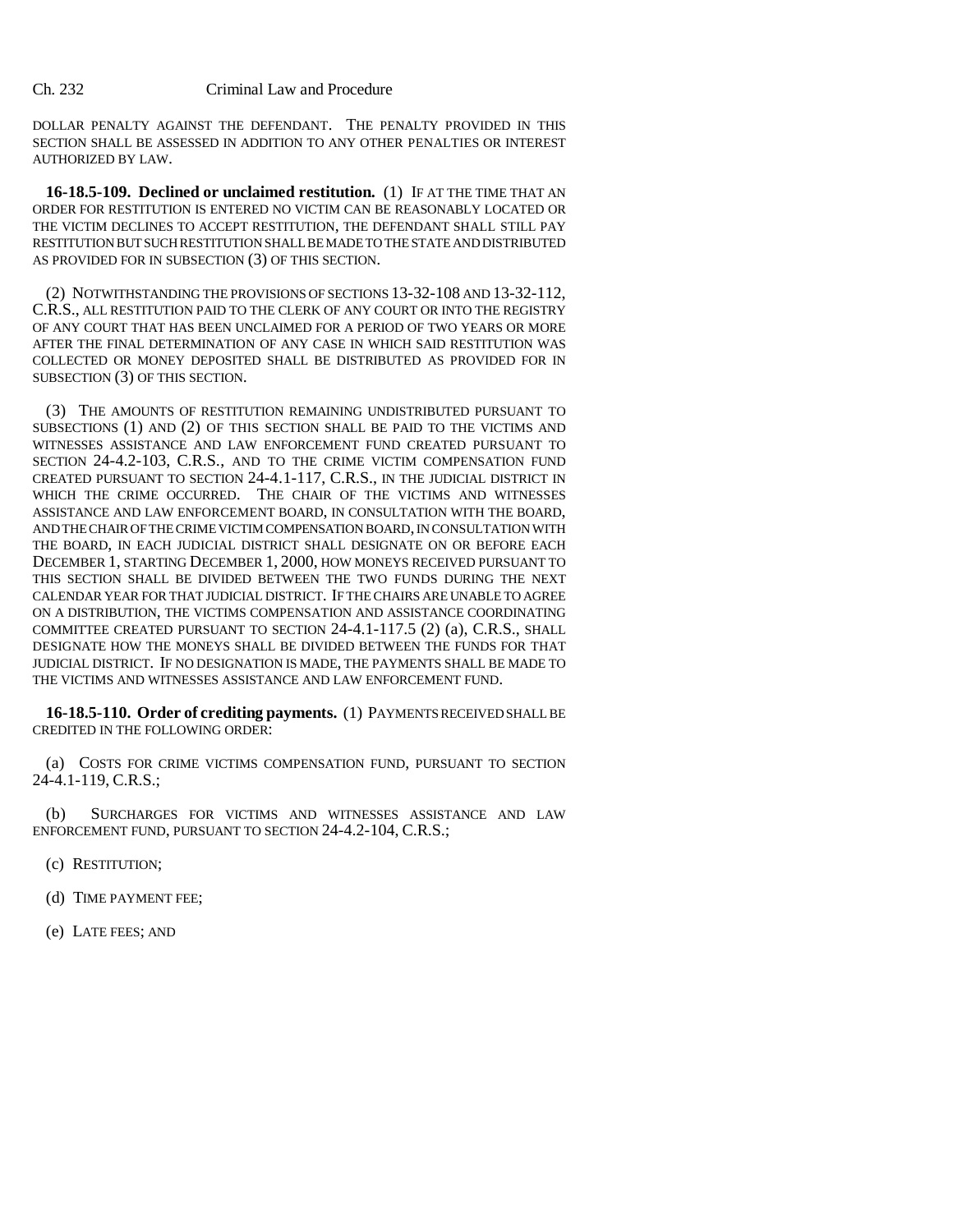DOLLAR PENALTY AGAINST THE DEFENDANT. THE PENALTY PROVIDED IN THIS SECTION SHALL BE ASSESSED IN ADDITION TO ANY OTHER PENALTIES OR INTEREST AUTHORIZED BY LAW.

**16-18.5-109. Declined or unclaimed restitution.** (1) IF AT THE TIME THAT AN ORDER FOR RESTITUTION IS ENTERED NO VICTIM CAN BE REASONABLY LOCATED OR THE VICTIM DECLINES TO ACCEPT RESTITUTION, THE DEFENDANT SHALL STILL PAY RESTITUTION BUT SUCH RESTITUTION SHALL BE MADE TO THE STATE AND DISTRIBUTED AS PROVIDED FOR IN SUBSECTION (3) OF THIS SECTION.

(2) NOTWITHSTANDING THE PROVISIONS OF SECTIONS 13-32-108 AND 13-32-112, C.R.S., ALL RESTITUTION PAID TO THE CLERK OF ANY COURT OR INTO THE REGISTRY OF ANY COURT THAT HAS BEEN UNCLAIMED FOR A PERIOD OF TWO YEARS OR MORE AFTER THE FINAL DETERMINATION OF ANY CASE IN WHICH SAID RESTITUTION WAS COLLECTED OR MONEY DEPOSITED SHALL BE DISTRIBUTED AS PROVIDED FOR IN SUBSECTION (3) OF THIS SECTION.

(3) THE AMOUNTS OF RESTITUTION REMAINING UNDISTRIBUTED PURSUANT TO SUBSECTIONS (1) AND (2) OF THIS SECTION SHALL BE PAID TO THE VICTIMS AND WITNESSES ASSISTANCE AND LAW ENFORCEMENT FUND CREATED PURSUANT TO SECTION 24-4.2-103, C.R.S., AND TO THE CRIME VICTIM COMPENSATION FUND CREATED PURSUANT TO SECTION 24-4.1-117, C.R.S., IN THE JUDICIAL DISTRICT IN WHICH THE CRIME OCCURRED. THE CHAIR OF THE VICTIMS AND WITNESSES ASSISTANCE AND LAW ENFORCEMENT BOARD, IN CONSULTATION WITH THE BOARD, AND THE CHAIR OF THE CRIME VICTIM COMPENSATION BOARD, IN CONSULTATION WITH THE BOARD, IN EACH JUDICIAL DISTRICT SHALL DESIGNATE ON OR BEFORE EACH DECEMBER 1, STARTING DECEMBER 1, 2000, HOW MONEYS RECEIVED PURSUANT TO THIS SECTION SHALL BE DIVIDED BETWEEN THE TWO FUNDS DURING THE NEXT CALENDAR YEAR FOR THAT JUDICIAL DISTRICT. IF THE CHAIRS ARE UNABLE TO AGREE ON A DISTRIBUTION, THE VICTIMS COMPENSATION AND ASSISTANCE COORDINATING COMMITTEE CREATED PURSUANT TO SECTION 24-4.1-117.5 (2) (a), C.R.S., SHALL DESIGNATE HOW THE MONEYS SHALL BE DIVIDED BETWEEN THE FUNDS FOR THAT JUDICIAL DISTRICT. IF NO DESIGNATION IS MADE, THE PAYMENTS SHALL BE MADE TO THE VICTIMS AND WITNESSES ASSISTANCE AND LAW ENFORCEMENT FUND.

**16-18.5-110. Order of crediting payments.** (1) PAYMENTS RECEIVED SHALL BE CREDITED IN THE FOLLOWING ORDER:

(a) COSTS FOR CRIME VICTIMS COMPENSATION FUND, PURSUANT TO SECTION 24-4.1-119, C.R.S.;

(b) SURCHARGES FOR VICTIMS AND WITNESSES ASSISTANCE AND LAW ENFORCEMENT FUND, PURSUANT TO SECTION 24-4.2-104, C.R.S.;

(c) RESTITUTION;

- (d) TIME PAYMENT FEE;
- (e) LATE FEES; AND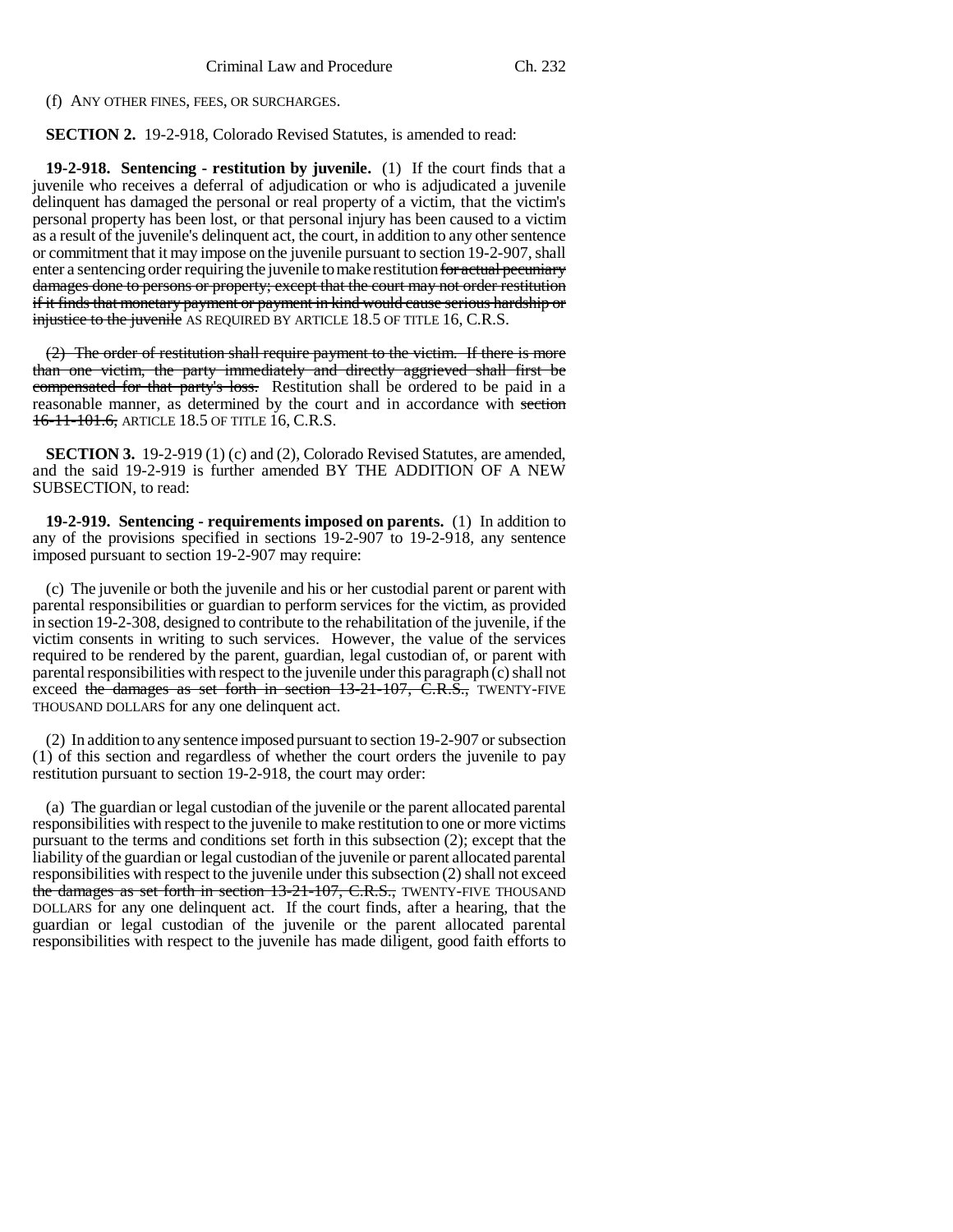(f) ANY OTHER FINES, FEES, OR SURCHARGES.

**SECTION 2.** 19-2-918, Colorado Revised Statutes, is amended to read:

**19-2-918. Sentencing - restitution by juvenile.** (1) If the court finds that a juvenile who receives a deferral of adjudication or who is adjudicated a juvenile delinquent has damaged the personal or real property of a victim, that the victim's personal property has been lost, or that personal injury has been caused to a victim as a result of the juvenile's delinquent act, the court, in addition to any other sentence or commitment that it may impose on the juvenile pursuant to section 19-2-907, shall enter a sentencing order requiring the juvenile to make restitution for actual pecuniary damages done to persons or property; except that the court may not order restitution if it finds that monetary payment or payment in kind would cause serious hardship or injustice to the juvenile AS REQUIRED BY ARTICLE 18.5 OF TITLE 16, C.R.S.

(2) The order of restitution shall require payment to the victim. If there is more than one victim, the party immediately and directly aggrieved shall first be compensated for that party's loss. Restitution shall be ordered to be paid in a reasonable manner, as determined by the court and in accordance with section 16-11-101.6, ARTICLE 18.5 OF TITLE 16, C.R.S.

**SECTION 3.** 19-2-919 (1) (c) and (2), Colorado Revised Statutes, are amended, and the said 19-2-919 is further amended BY THE ADDITION OF A NEW SUBSECTION, to read:

**19-2-919. Sentencing - requirements imposed on parents.** (1) In addition to any of the provisions specified in sections 19-2-907 to 19-2-918, any sentence imposed pursuant to section 19-2-907 may require:

(c) The juvenile or both the juvenile and his or her custodial parent or parent with parental responsibilities or guardian to perform services for the victim, as provided in section 19-2-308, designed to contribute to the rehabilitation of the juvenile, if the victim consents in writing to such services. However, the value of the services required to be rendered by the parent, guardian, legal custodian of, or parent with parental responsibilities with respect to the juvenile under this paragraph (c) shall not exceed the damages as set forth in section 13-21-107, C.R.S., TWENTY-FIVE THOUSAND DOLLARS for any one delinquent act.

(2) In addition to any sentence imposed pursuant to section 19-2-907 or subsection (1) of this section and regardless of whether the court orders the juvenile to pay restitution pursuant to section 19-2-918, the court may order:

(a) The guardian or legal custodian of the juvenile or the parent allocated parental responsibilities with respect to the juvenile to make restitution to one or more victims pursuant to the terms and conditions set forth in this subsection (2); except that the liability of the guardian or legal custodian of the juvenile or parent allocated parental responsibilities with respect to the juvenile under this subsection (2) shall not exceed the damages as set forth in section 13-21-107, C.R.S., TWENTY-FIVE THOUSAND DOLLARS for any one delinquent act. If the court finds, after a hearing, that the guardian or legal custodian of the juvenile or the parent allocated parental responsibilities with respect to the juvenile has made diligent, good faith efforts to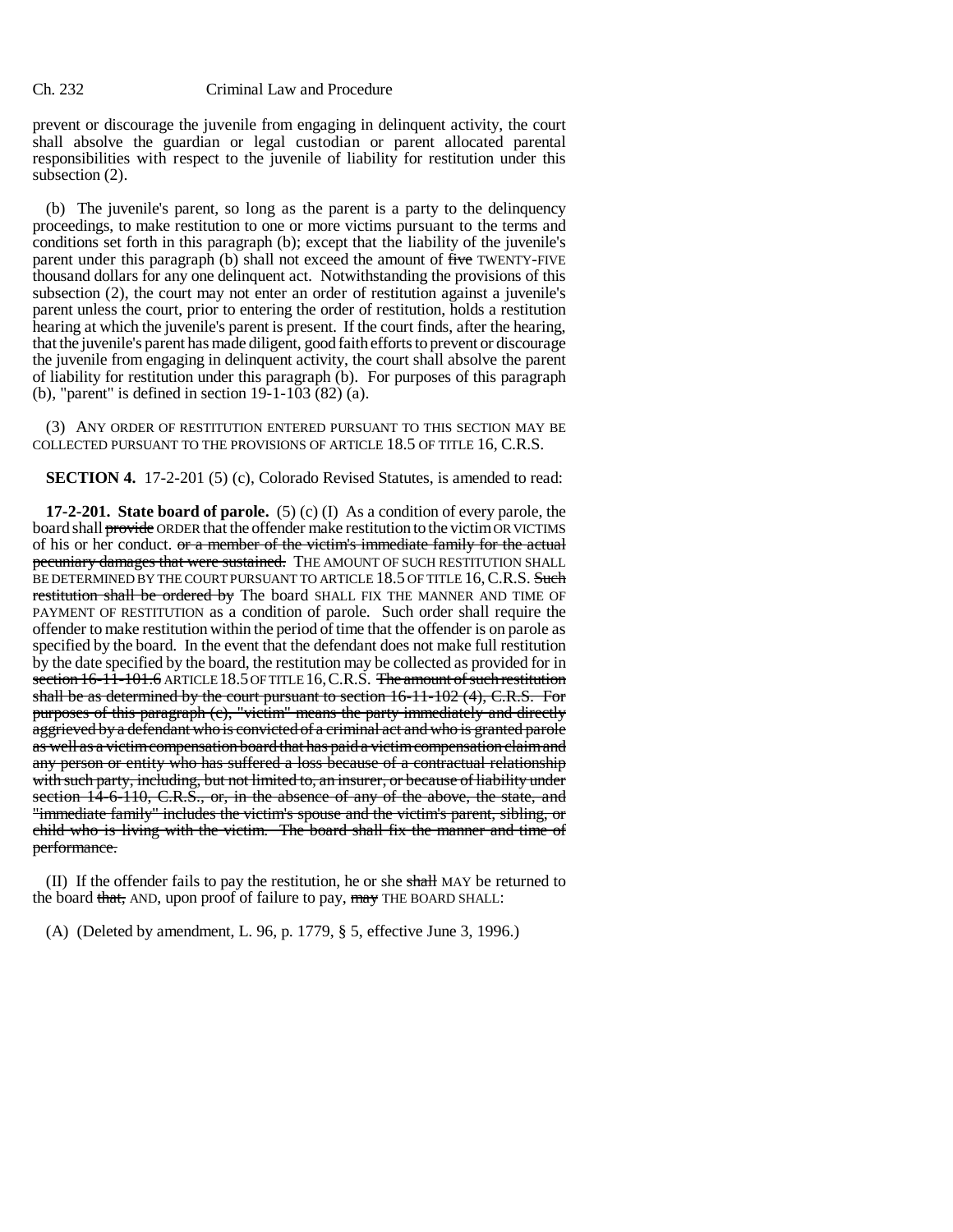prevent or discourage the juvenile from engaging in delinquent activity, the court shall absolve the guardian or legal custodian or parent allocated parental responsibilities with respect to the juvenile of liability for restitution under this subsection (2).

(b) The juvenile's parent, so long as the parent is a party to the delinquency proceedings, to make restitution to one or more victims pursuant to the terms and conditions set forth in this paragraph (b); except that the liability of the juvenile's parent under this paragraph (b) shall not exceed the amount of five TWENTY-FIVE thousand dollars for any one delinquent act. Notwithstanding the provisions of this subsection (2), the court may not enter an order of restitution against a juvenile's parent unless the court, prior to entering the order of restitution, holds a restitution hearing at which the juvenile's parent is present. If the court finds, after the hearing, that the juvenile's parent has made diligent, good faith efforts to prevent or discourage the juvenile from engaging in delinquent activity, the court shall absolve the parent of liability for restitution under this paragraph (b). For purposes of this paragraph (b), "parent" is defined in section 19-1-103 (82) (a).

(3) ANY ORDER OF RESTITUTION ENTERED PURSUANT TO THIS SECTION MAY BE COLLECTED PURSUANT TO THE PROVISIONS OF ARTICLE 18.5 OF TITLE 16, C.R.S.

**SECTION 4.** 17-2-201 (5) (c), Colorado Revised Statutes, is amended to read:

**17-2-201. State board of parole.** (5) (c) (I) As a condition of every parole, the board shall provide ORDER that the offender make restitution to the victim OR VICTIMS of his or her conduct.  $\sigma$  a member of the victim's immediate family for the actual pecuniary damages that were sustained. THE AMOUNT OF SUCH RESTITUTION SHALL BE DETERMINED BY THE COURT PURSUANT TO ARTICLE 18.5 OF TITLE 16, C.R.S. Such restitution shall be ordered by The board SHALL FIX THE MANNER AND TIME OF PAYMENT OF RESTITUTION as a condition of parole. Such order shall require the offender to make restitution within the period of time that the offender is on parole as specified by the board. In the event that the defendant does not make full restitution by the date specified by the board, the restitution may be collected as provided for in section 16-11-101.6 ARTICLE 18.5 OF TITLE 16, C.R.S. The amount of such restitution shall be as determined by the court pursuant to section 16-11-102 (4), C.R.S. For purposes of this paragraph (c), "victim" means the party immediately and directly aggrieved by a defendant who is convicted of a criminal act and who is granted parole as well as a victim compensation board that has paid a victim compensation claim and any person or entity who has suffered a loss because of a contractual relationship with such party, including, but not limited to, an insurer, or because of liability under section 14-6-110, C.R.S., or, in the absence of any of the above, the state, and "immediate family" includes the victim's spouse and the victim's parent, sibling, or child who is living with the victim. The board shall fix the manner and time of performance.

(II) If the offender fails to pay the restitution, he or she shall MAY be returned to the board that, AND, upon proof of failure to pay, may THE BOARD SHALL:

(A) (Deleted by amendment, L. 96, p. 1779, § 5, effective June 3, 1996.)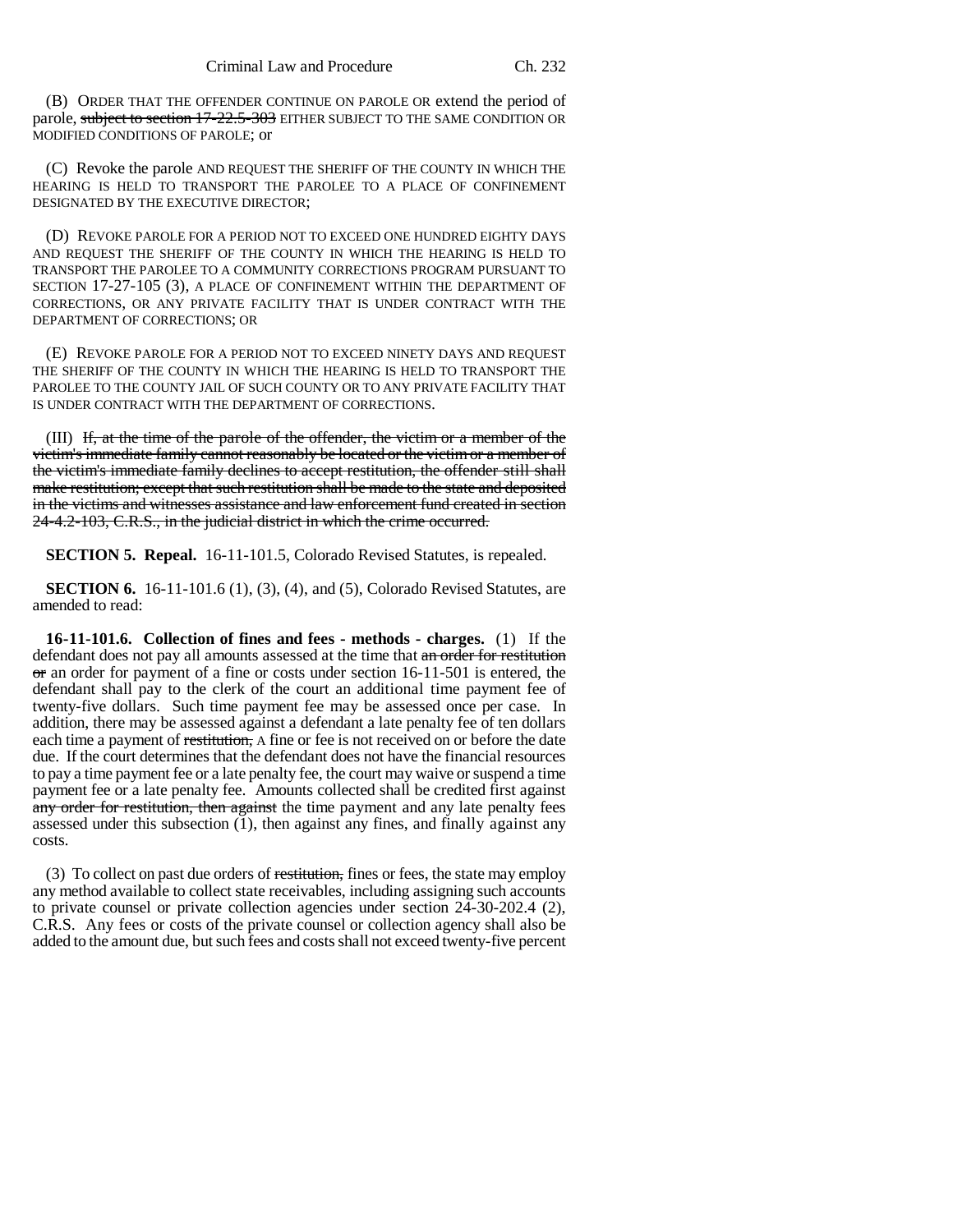(B) ORDER THAT THE OFFENDER CONTINUE ON PAROLE OR extend the period of parole, subject to section 17-22.5-303 EITHER SUBJECT TO THE SAME CONDITION OR MODIFIED CONDITIONS OF PAROLE; or

(C) Revoke the parole AND REQUEST THE SHERIFF OF THE COUNTY IN WHICH THE HEARING IS HELD TO TRANSPORT THE PAROLEE TO A PLACE OF CONFINEMENT DESIGNATED BY THE EXECUTIVE DIRECTOR;

(D) REVOKE PAROLE FOR A PERIOD NOT TO EXCEED ONE HUNDRED EIGHTY DAYS AND REQUEST THE SHERIFF OF THE COUNTY IN WHICH THE HEARING IS HELD TO TRANSPORT THE PAROLEE TO A COMMUNITY CORRECTIONS PROGRAM PURSUANT TO SECTION 17-27-105 (3), A PLACE OF CONFINEMENT WITHIN THE DEPARTMENT OF CORRECTIONS, OR ANY PRIVATE FACILITY THAT IS UNDER CONTRACT WITH THE DEPARTMENT OF CORRECTIONS; OR

(E) REVOKE PAROLE FOR A PERIOD NOT TO EXCEED NINETY DAYS AND REQUEST THE SHERIFF OF THE COUNTY IN WHICH THE HEARING IS HELD TO TRANSPORT THE PAROLEE TO THE COUNTY JAIL OF SUCH COUNTY OR TO ANY PRIVATE FACILITY THAT IS UNDER CONTRACT WITH THE DEPARTMENT OF CORRECTIONS.

(III) If, at the time of the parole of the offender, the victim or a member of the victim's immediate family cannot reasonably be located or the victim or a member of the victim's immediate family declines to accept restitution, the offender still shall make restitution; except that such restitution shall be made to the state and deposited in the victims and witnesses assistance and law enforcement fund created in section 24-4.2-103, C.R.S., in the judicial district in which the crime occurred.

**SECTION 5. Repeal.** 16-11-101.5, Colorado Revised Statutes, is repealed.

**SECTION 6.** 16-11-101.6 (1), (3), (4), and (5), Colorado Revised Statutes, are amended to read:

**16-11-101.6. Collection of fines and fees - methods - charges.** (1) If the defendant does not pay all amounts assessed at the time that an order for restitution  $\sigma$  an order for payment of a fine or costs under section 16-11-501 is entered, the defendant shall pay to the clerk of the court an additional time payment fee of twenty-five dollars. Such time payment fee may be assessed once per case. In addition, there may be assessed against a defendant a late penalty fee of ten dollars each time a payment of restitution, A fine or fee is not received on or before the date due. If the court determines that the defendant does not have the financial resources to pay a time payment fee or a late penalty fee, the court may waive or suspend a time payment fee or a late penalty fee. Amounts collected shall be credited first against any order for restitution, then against the time payment and any late penalty fees assessed under this subsection (1), then against any fines, and finally against any costs.

(3) To collect on past due orders of restitution, fines or fees, the state may employ any method available to collect state receivables, including assigning such accounts to private counsel or private collection agencies under section 24-30-202.4 (2), C.R.S. Any fees or costs of the private counsel or collection agency shall also be added to the amount due, but such fees and costs shall not exceed twenty-five percent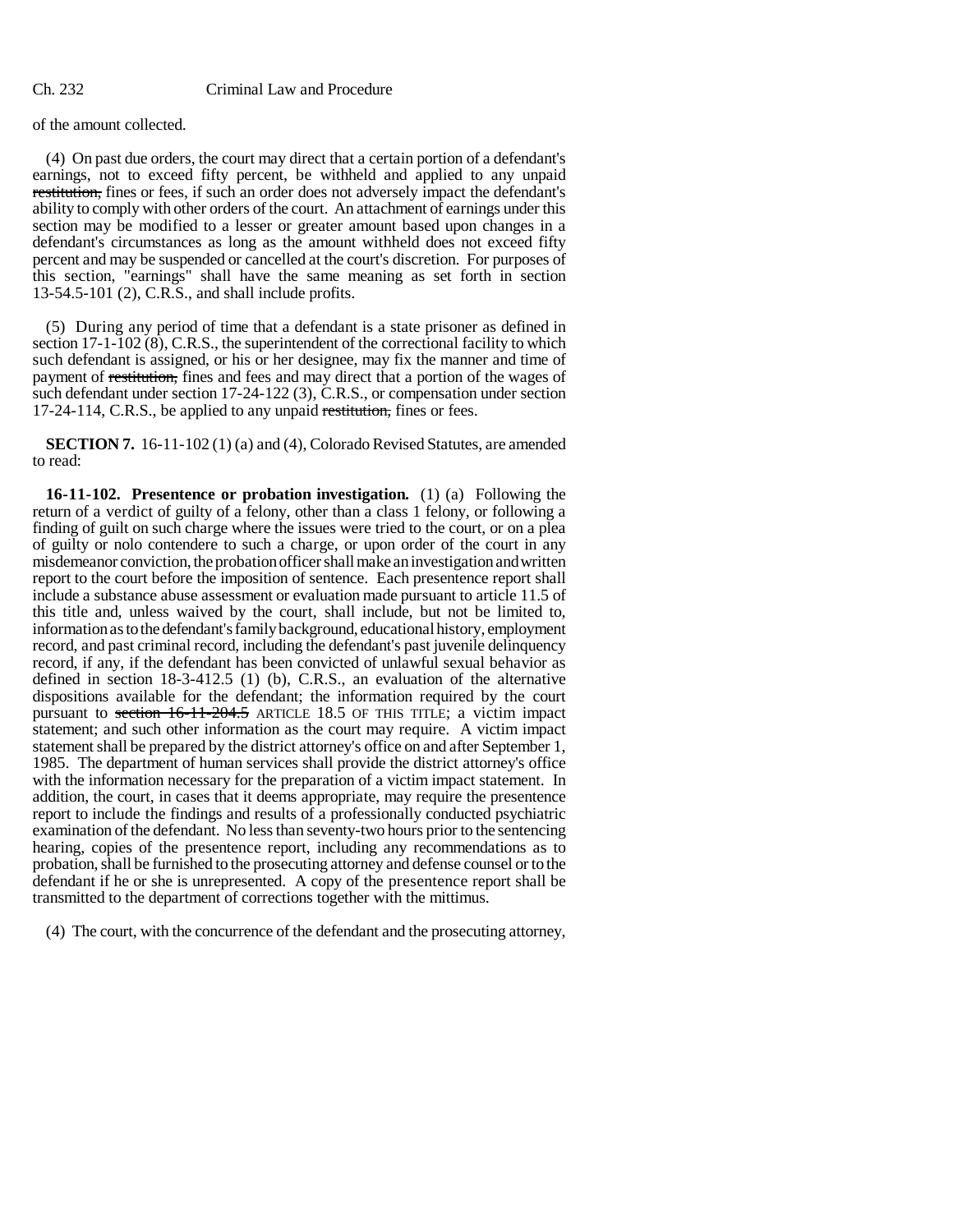of the amount collected.

(4) On past due orders, the court may direct that a certain portion of a defendant's earnings, not to exceed fifty percent, be withheld and applied to any unpaid restitution, fines or fees, if such an order does not adversely impact the defendant's ability to comply with other orders of the court. An attachment of earnings under this section may be modified to a lesser or greater amount based upon changes in a defendant's circumstances as long as the amount withheld does not exceed fifty percent and may be suspended or cancelled at the court's discretion. For purposes of this section, "earnings" shall have the same meaning as set forth in section 13-54.5-101 (2), C.R.S., and shall include profits.

(5) During any period of time that a defendant is a state prisoner as defined in section  $17-1-102(8)$ , C.R.S., the superintendent of the correctional facility to which such defendant is assigned, or his or her designee, may fix the manner and time of payment of restitution, fines and fees and may direct that a portion of the wages of such defendant under section 17-24-122 (3), C.R.S., or compensation under section 17-24-114, C.R.S., be applied to any unpaid restitution, fines or fees.

**SECTION 7.** 16-11-102 (1) (a) and (4), Colorado Revised Statutes, are amended to read:

**16-11-102. Presentence or probation investigation.** (1) (a) Following the return of a verdict of guilty of a felony, other than a class 1 felony, or following a finding of guilt on such charge where the issues were tried to the court, or on a plea of guilty or nolo contendere to such a charge, or upon order of the court in any misdemeanor conviction, the probation officer shall make an investigation and written report to the court before the imposition of sentence. Each presentence report shall include a substance abuse assessment or evaluation made pursuant to article 11.5 of this title and, unless waived by the court, shall include, but not be limited to, information as to the defendant's family background, educational history, employment record, and past criminal record, including the defendant's past juvenile delinquency record, if any, if the defendant has been convicted of unlawful sexual behavior as defined in section 18-3-412.5 (1) (b), C.R.S., an evaluation of the alternative dispositions available for the defendant; the information required by the court pursuant to section 16-11-204.5 ARTICLE 18.5 OF THIS TITLE; a victim impact statement; and such other information as the court may require. A victim impact statement shall be prepared by the district attorney's office on and after September 1, 1985. The department of human services shall provide the district attorney's office with the information necessary for the preparation of a victim impact statement. In addition, the court, in cases that it deems appropriate, may require the presentence report to include the findings and results of a professionally conducted psychiatric examination of the defendant. No less than seventy-two hours prior to the sentencing hearing, copies of the presentence report, including any recommendations as to probation, shall be furnished to the prosecuting attorney and defense counsel or to the defendant if he or she is unrepresented. A copy of the presentence report shall be transmitted to the department of corrections together with the mittimus.

(4) The court, with the concurrence of the defendant and the prosecuting attorney,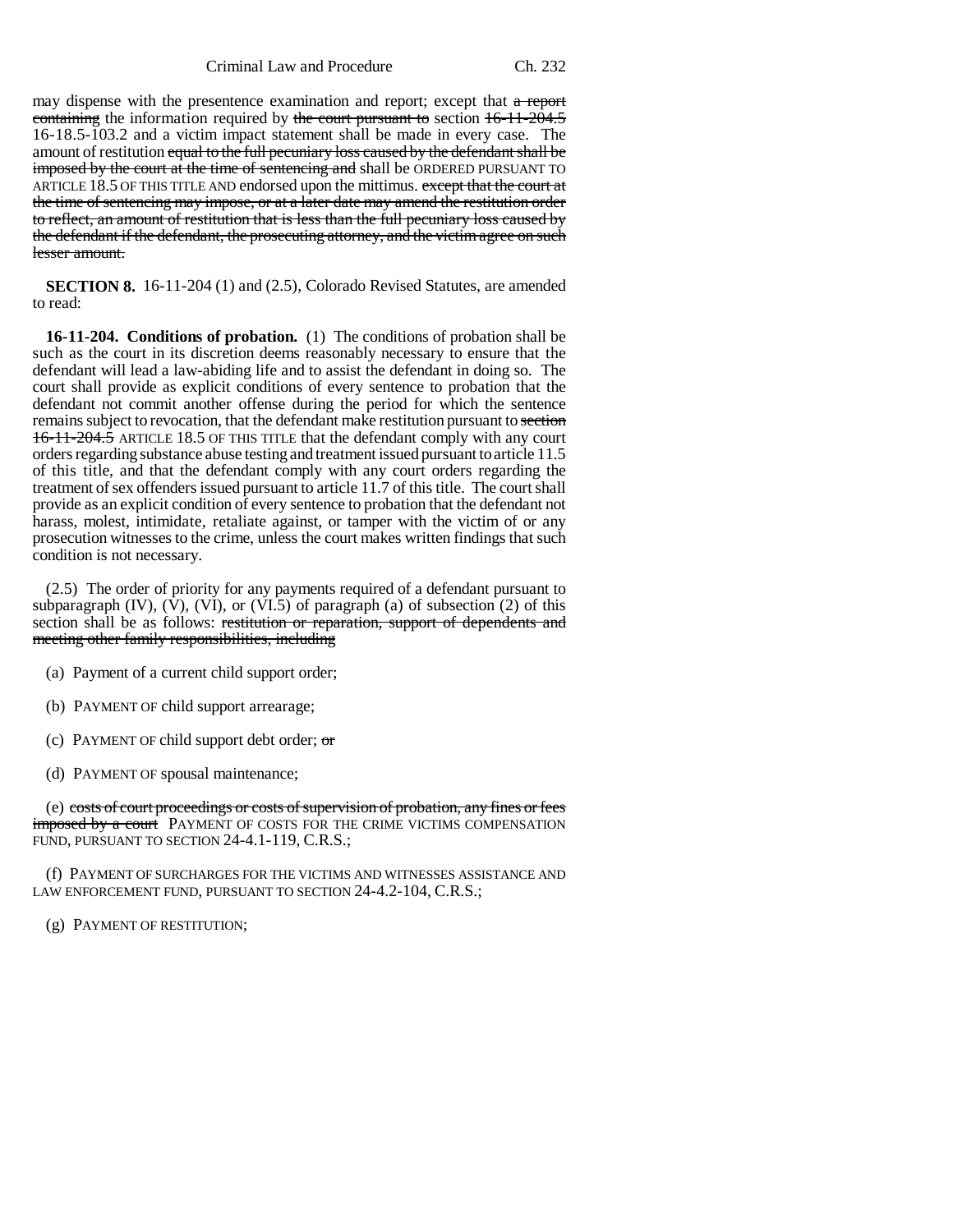Criminal Law and Procedure Ch. 232

may dispense with the presentence examination and report; except that a report containing the information required by the court pursuant to section  $16-11-204.5$ 16-18.5-103.2 and a victim impact statement shall be made in every case. The amount of restitution equal to the full pecuniary loss caused by the defendant shall be imposed by the court at the time of sentencing and shall be ORDERED PURSUANT TO ARTICLE 18.5 OF THIS TITLE AND endorsed upon the mittimus. except that the court at the time of sentencing may impose, or at a later date may amend the restitution order to reflect, an amount of restitution that is less than the full pecuniary loss caused by the defendant if the defendant, the prosecuting attorney, and the victim agree on such lesser amount.

**SECTION 8.** 16-11-204 (1) and (2.5), Colorado Revised Statutes, are amended to read:

**16-11-204. Conditions of probation.** (1) The conditions of probation shall be such as the court in its discretion deems reasonably necessary to ensure that the defendant will lead a law-abiding life and to assist the defendant in doing so. The court shall provide as explicit conditions of every sentence to probation that the defendant not commit another offense during the period for which the sentence remains subject to revocation, that the defendant make restitution pursuant to section 16-11-204.5 ARTICLE 18.5 OF THIS TITLE that the defendant comply with any court orders regarding substance abuse testing and treatment issued pursuant to article 11.5 of this title, and that the defendant comply with any court orders regarding the treatment of sex offenders issued pursuant to article 11.7 of this title. The court shall provide as an explicit condition of every sentence to probation that the defendant not harass, molest, intimidate, retaliate against, or tamper with the victim of or any prosecution witnesses to the crime, unless the court makes written findings that such condition is not necessary.

(2.5) The order of priority for any payments required of a defendant pursuant to subparagraph  $(IV)$ ,  $(V)$ ,  $(VI)$ , or  $(VI.\overline{5})$  of paragraph  $(a)$  of subsection  $(2)$  of this section shall be as follows: restitution or reparation, support of dependents and meeting other family responsibilities, including

(a) Payment of a current child support order;

- (b) PAYMENT OF child support arrearage;
- (c) PAYMENT OF child support debt order;  $\sigma$
- (d) PAYMENT OF spousal maintenance;

(e) costs of court proceedings or costs of supervision of probation, any fines or fees imposed by a court PAYMENT OF COSTS FOR THE CRIME VICTIMS COMPENSATION FUND, PURSUANT TO SECTION 24-4.1-119, C.R.S.;

(f) PAYMENT OF SURCHARGES FOR THE VICTIMS AND WITNESSES ASSISTANCE AND LAW ENFORCEMENT FUND, PURSUANT TO SECTION 24-4.2-104, C.R.S.;

(g) PAYMENT OF RESTITUTION;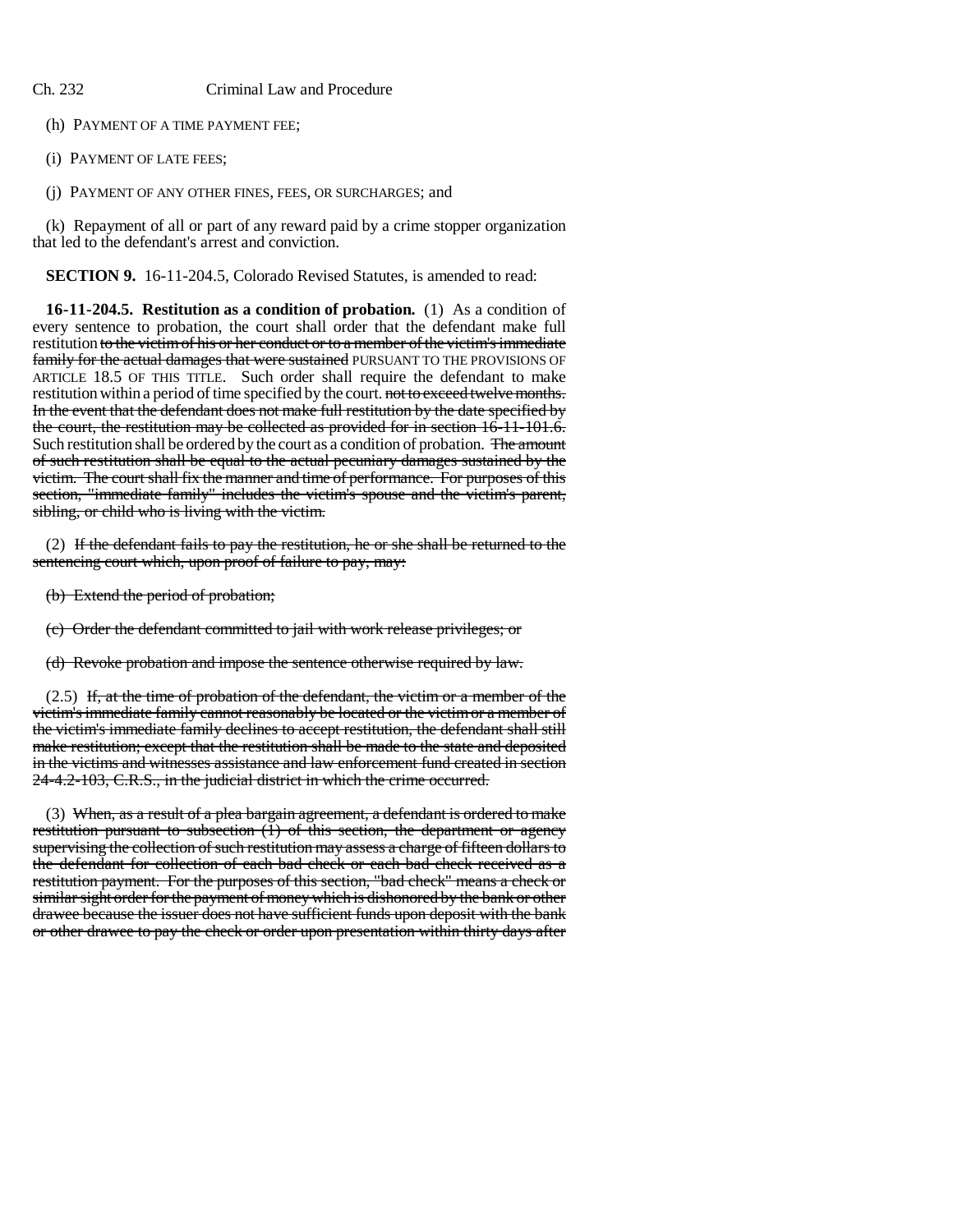(h) PAYMENT OF A TIME PAYMENT FEE;

(i) PAYMENT OF LATE FEES;

(j) PAYMENT OF ANY OTHER FINES, FEES, OR SURCHARGES; and

(k) Repayment of all or part of any reward paid by a crime stopper organization that led to the defendant's arrest and conviction.

**SECTION 9.** 16-11-204.5, Colorado Revised Statutes, is amended to read:

**16-11-204.5. Restitution as a condition of probation.** (1) As a condition of every sentence to probation, the court shall order that the defendant make full restitution to the victim of his or her conduct or to a member of the victim's immediate family for the actual damages that were sustained PURSUANT TO THE PROVISIONS OF ARTICLE 18.5 OF THIS TITLE. Such order shall require the defendant to make restitution within a period of time specified by the court. not to exceed twelve months. In the event that the defendant does not make full restitution by the date specified by the court, the restitution may be collected as provided for in section 16-11-101.6. Such restitution shall be ordered by the court as a condition of probation. The amount of such restitution shall be equal to the actual pecuniary damages sustained by the victim. The court shall fix the manner and time of performance. For purposes of this section, "immediate family" includes the victim's spouse and the victim's parent, sibling, or child who is living with the victim.

(2) If the defendant fails to pay the restitution, he or she shall be returned to the sentencing court which, upon proof of failure to pay, may:

(b) Extend the period of probation;

(c) Order the defendant committed to jail with work release privileges; or

(d) Revoke probation and impose the sentence otherwise required by law.

 $(2.5)$  If, at the time of probation of the defendant, the victim or a member of the victim's immediate family cannot reasonably be located or the victim or a member of the victim's immediate family declines to accept restitution, the defendant shall still make restitution; except that the restitution shall be made to the state and deposited in the victims and witnesses assistance and law enforcement fund created in section 24-4.2-103, C.R.S., in the judicial district in which the crime occurred.

(3) When, as a result of a plea bargain agreement, a defendant is ordered to make restitution pursuant to subsection  $(1)$  of this section, the department or agency supervising the collection of such restitution may assess a charge of fifteen dollars to the defendant for collection of each bad check or each bad check received as a restitution payment. For the purposes of this section, "bad check" means a check or similar sight order for the payment of money which is dishonored by the bank or other drawee because the issuer does not have sufficient funds upon deposit with the bank or other drawee to pay the check or order upon presentation within thirty days after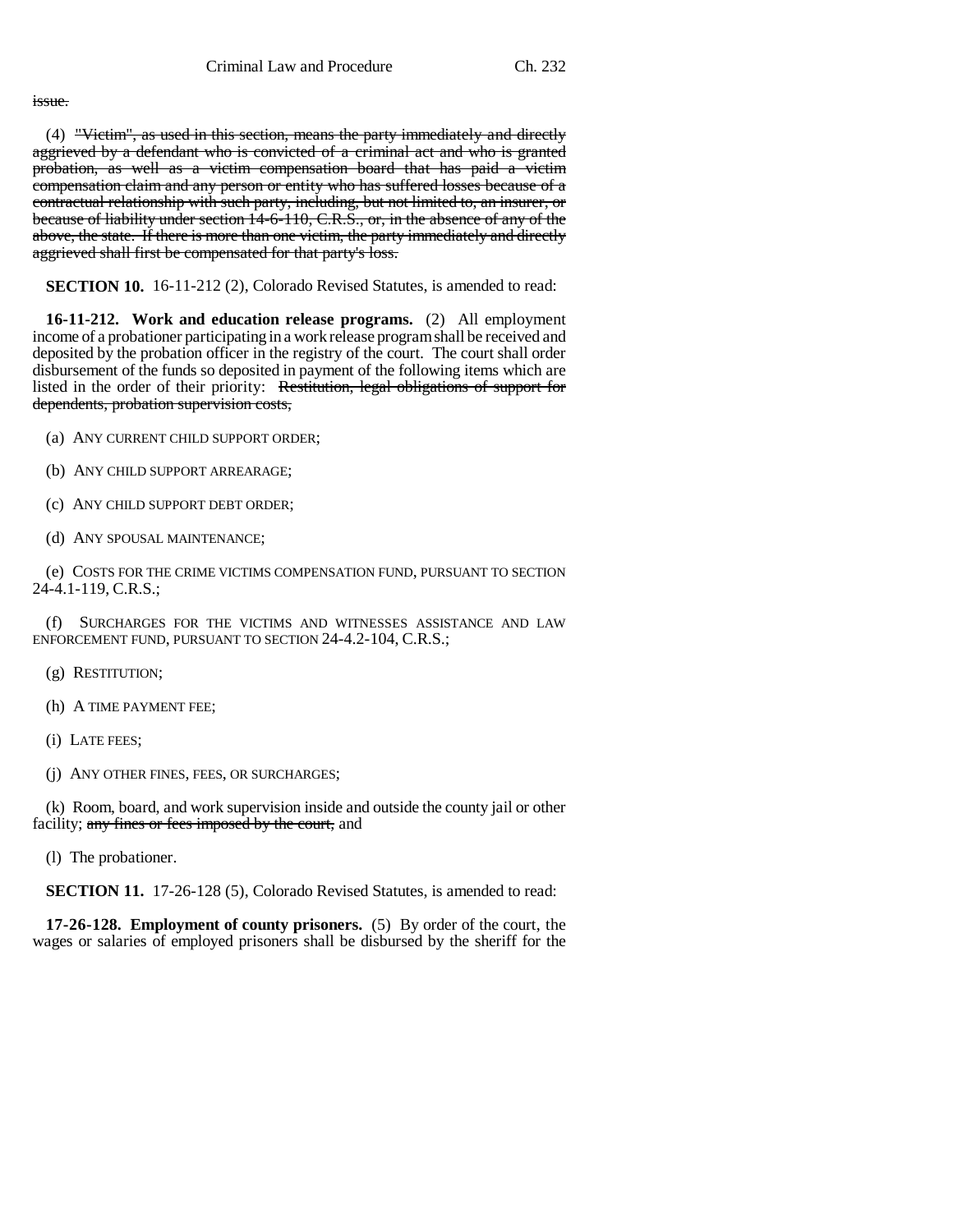#### issue.

(4) "Victim", as used in this section, means the party immediately and directly aggrieved by a defendant who is convicted of a criminal act and who is granted probation, as well as a victim compensation board that has paid a victim compensation claim and any person or entity who has suffered losses because of a contractual relationship with such party, including, but not limited to, an insurer, or because of liability under section 14-6-110, C.R.S., or, in the absence of any of the above, the state. If there is more than one victim, the party immediately and directly aggrieved shall first be compensated for that party's loss.

**SECTION 10.** 16-11-212 (2), Colorado Revised Statutes, is amended to read:

**16-11-212. Work and education release programs.** (2) All employment income of a probationer participating in a work release program shall be received and deposited by the probation officer in the registry of the court. The court shall order disbursement of the funds so deposited in payment of the following items which are listed in the order of their priority: Restitution, legal obligations of support for dependents, probation supervision costs,

- (a) ANY CURRENT CHILD SUPPORT ORDER;
- (b) ANY CHILD SUPPORT ARREARAGE;
- (c) ANY CHILD SUPPORT DEBT ORDER;
- (d) ANY SPOUSAL MAINTENANCE;

(e) COSTS FOR THE CRIME VICTIMS COMPENSATION FUND, PURSUANT TO SECTION 24-4.1-119, C.R.S.;

(f) SURCHARGES FOR THE VICTIMS AND WITNESSES ASSISTANCE AND LAW ENFORCEMENT FUND, PURSUANT TO SECTION 24-4.2-104, C.R.S.;

- (g) RESTITUTION;
- (h) A TIME PAYMENT FEE;
- (i) LATE FEES;
- (j) ANY OTHER FINES, FEES, OR SURCHARGES;

(k) Room, board, and work supervision inside and outside the county jail or other facility; any fines or fees imposed by the court, and

(l) The probationer.

**SECTION 11.** 17-26-128 (5), Colorado Revised Statutes, is amended to read:

**17-26-128. Employment of county prisoners.** (5) By order of the court, the wages or salaries of employed prisoners shall be disbursed by the sheriff for the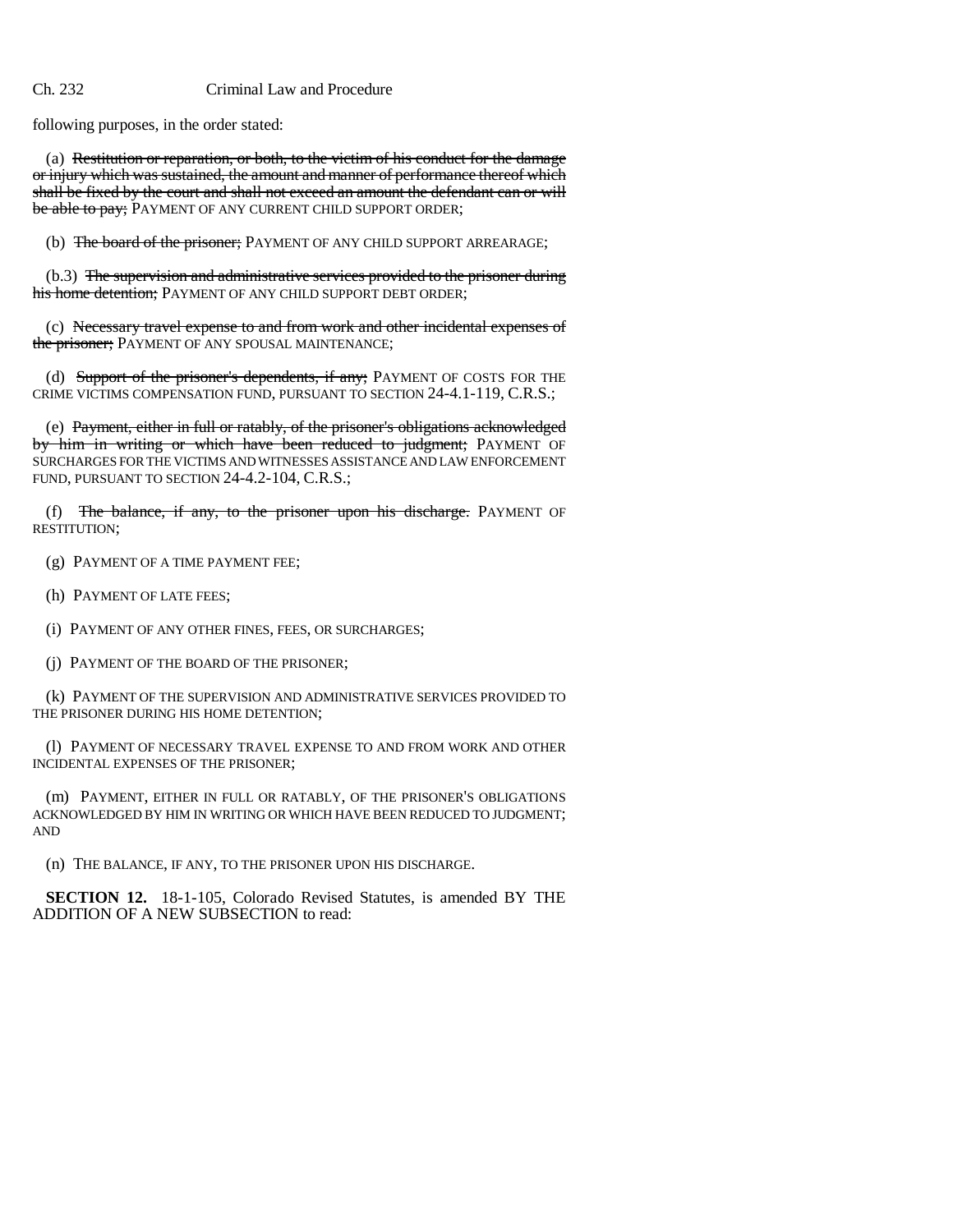following purposes, in the order stated:

(a) Restitution or reparation, or both, to the victim of his conduct for the damage or injury which was sustained, the amount and manner of performance thereof which shall be fixed by the court and shall not exceed an amount the defendant can or will be able to pay; PAYMENT OF ANY CURRENT CHILD SUPPORT ORDER;

(b) The board of the prisoner; PAYMENT OF ANY CHILD SUPPORT ARREARAGE;

(b.3) The supervision and administrative services provided to the prisoner during his home detention; PAYMENT OF ANY CHILD SUPPORT DEBT ORDER;

(c) Necessary travel expense to and from work and other incidental expenses of the prisoner; PAYMENT OF ANY SPOUSAL MAINTENANCE;

(d) Support of the prisoner's dependents, if any; PAYMENT OF COSTS FOR THE CRIME VICTIMS COMPENSATION FUND, PURSUANT TO SECTION 24-4.1-119, C.R.S.;

(e) Payment, either in full or ratably, of the prisoner's obligations acknowledged by him in writing or which have been reduced to judgment; PAYMENT OF SURCHARGES FOR THE VICTIMS AND WITNESSES ASSISTANCE AND LAW ENFORCEMENT FUND, PURSUANT TO SECTION 24-4.2-104, C.R.S.;

(f) The balance, if any, to the prisoner upon his discharge. PAYMENT OF RESTITUTION;

(g) PAYMENT OF A TIME PAYMENT FEE;

(h) PAYMENT OF LATE FEES;

(i) PAYMENT OF ANY OTHER FINES, FEES, OR SURCHARGES;

(j) PAYMENT OF THE BOARD OF THE PRISONER;

(k) PAYMENT OF THE SUPERVISION AND ADMINISTRATIVE SERVICES PROVIDED TO THE PRISONER DURING HIS HOME DETENTION;

(l) PAYMENT OF NECESSARY TRAVEL EXPENSE TO AND FROM WORK AND OTHER INCIDENTAL EXPENSES OF THE PRISONER;

(m) PAYMENT, EITHER IN FULL OR RATABLY, OF THE PRISONER'S OBLIGATIONS ACKNOWLEDGED BY HIM IN WRITING OR WHICH HAVE BEEN REDUCED TO JUDGMENT; AND

(n) THE BALANCE, IF ANY, TO THE PRISONER UPON HIS DISCHARGE.

**SECTION 12.** 18-1-105, Colorado Revised Statutes, is amended BY THE ADDITION OF A NEW SUBSECTION to read: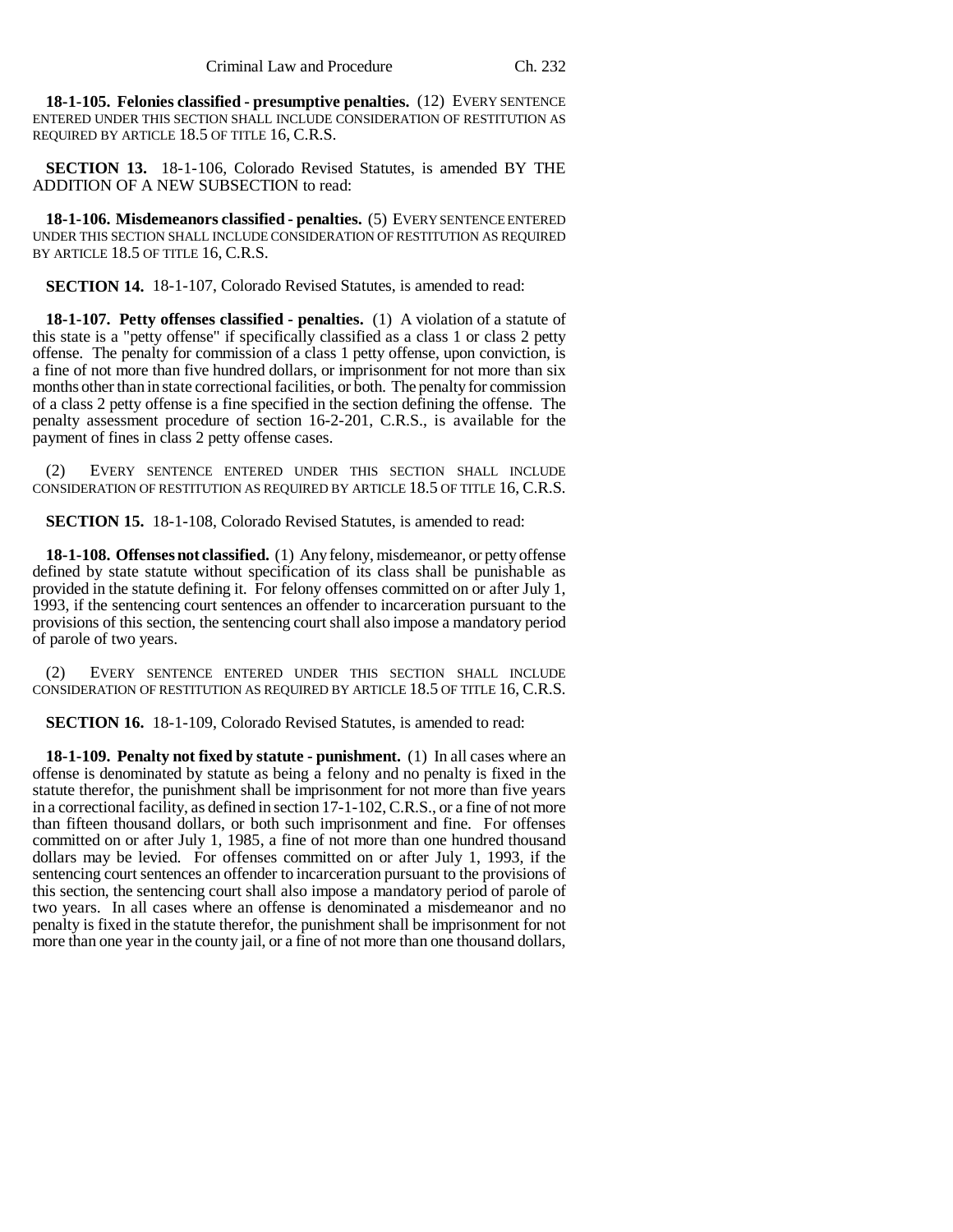**18-1-105. Felonies classified - presumptive penalties.** (12) EVERY SENTENCE ENTERED UNDER THIS SECTION SHALL INCLUDE CONSIDERATION OF RESTITUTION AS REQUIRED BY ARTICLE 18.5 OF TITLE 16, C.R.S.

**SECTION 13.** 18-1-106, Colorado Revised Statutes, is amended BY THE ADDITION OF A NEW SUBSECTION to read:

**18-1-106. Misdemeanors classified - penalties.** (5) EVERY SENTENCE ENTERED UNDER THIS SECTION SHALL INCLUDE CONSIDERATION OF RESTITUTION AS REQUIRED BY ARTICLE 18.5 OF TITLE 16, C.R.S.

**SECTION 14.** 18-1-107, Colorado Revised Statutes, is amended to read:

**18-1-107. Petty offenses classified - penalties.** (1) A violation of a statute of this state is a "petty offense" if specifically classified as a class 1 or class 2 petty offense. The penalty for commission of a class 1 petty offense, upon conviction, is a fine of not more than five hundred dollars, or imprisonment for not more than six months other than in state correctional facilities, or both. The penalty for commission of a class 2 petty offense is a fine specified in the section defining the offense. The penalty assessment procedure of section 16-2-201, C.R.S., is available for the payment of fines in class 2 petty offense cases.

(2) EVERY SENTENCE ENTERED UNDER THIS SECTION SHALL INCLUDE CONSIDERATION OF RESTITUTION AS REQUIRED BY ARTICLE 18.5 OF TITLE 16, C.R.S.

**SECTION 15.** 18-1-108, Colorado Revised Statutes, is amended to read:

**18-1-108. Offenses not classified.** (1) Any felony, misdemeanor, or petty offense defined by state statute without specification of its class shall be punishable as provided in the statute defining it. For felony offenses committed on or after July 1, 1993, if the sentencing court sentences an offender to incarceration pursuant to the provisions of this section, the sentencing court shall also impose a mandatory period of parole of two years.

EVERY SENTENCE ENTERED UNDER THIS SECTION SHALL INCLUDE CONSIDERATION OF RESTITUTION AS REQUIRED BY ARTICLE 18.5 OF TITLE 16, C.R.S.

**SECTION 16.** 18-1-109, Colorado Revised Statutes, is amended to read:

**18-1-109. Penalty not fixed by statute - punishment.** (1) In all cases where an offense is denominated by statute as being a felony and no penalty is fixed in the statute therefor, the punishment shall be imprisonment for not more than five years in a correctional facility, as defined in section 17-1-102, C.R.S., or a fine of not more than fifteen thousand dollars, or both such imprisonment and fine. For offenses committed on or after July 1, 1985, a fine of not more than one hundred thousand dollars may be levied. For offenses committed on or after July 1, 1993, if the sentencing court sentences an offender to incarceration pursuant to the provisions of this section, the sentencing court shall also impose a mandatory period of parole of two years. In all cases where an offense is denominated a misdemeanor and no penalty is fixed in the statute therefor, the punishment shall be imprisonment for not more than one year in the county jail, or a fine of not more than one thousand dollars,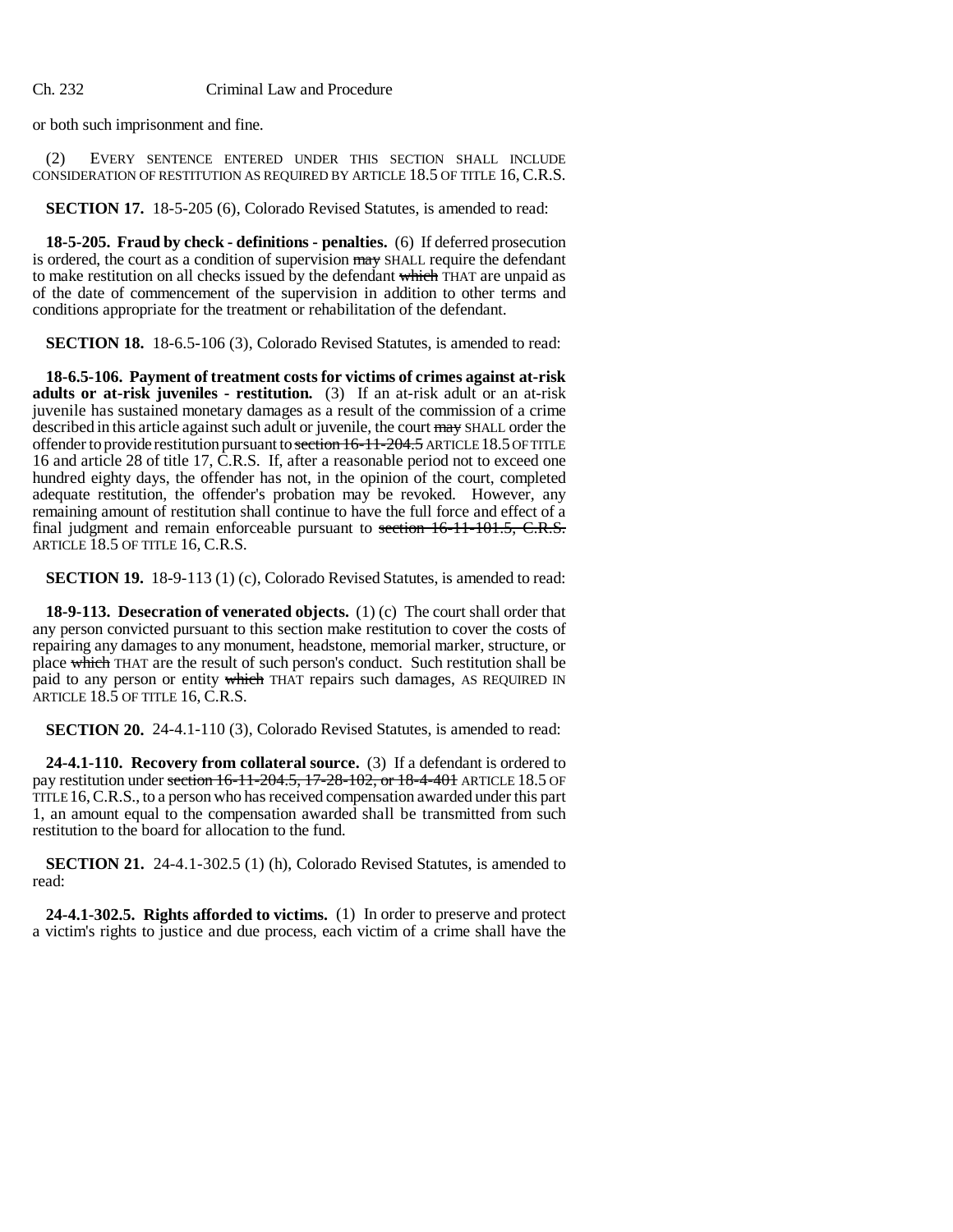or both such imprisonment and fine.

(2) EVERY SENTENCE ENTERED UNDER THIS SECTION SHALL INCLUDE CONSIDERATION OF RESTITUTION AS REQUIRED BY ARTICLE 18.5 OF TITLE 16, C.R.S.

**SECTION 17.** 18-5-205 (6), Colorado Revised Statutes, is amended to read:

**18-5-205. Fraud by check - definitions - penalties.** (6) If deferred prosecution is ordered, the court as a condition of supervision may SHALL require the defendant to make restitution on all checks issued by the defendant which THAT are unpaid as of the date of commencement of the supervision in addition to other terms and conditions appropriate for the treatment or rehabilitation of the defendant.

**SECTION 18.** 18-6.5-106 (3), Colorado Revised Statutes, is amended to read:

**18-6.5-106. Payment of treatment costs for victims of crimes against at-risk adults or at-risk juveniles - restitution.** (3) If an at-risk adult or an at-risk juvenile has sustained monetary damages as a result of the commission of a crime described in this article against such adult or juvenile, the court may SHALL order the offender to provide restitution pursuant to section 16-11-204.5 ARTICLE 18.5 OF TITLE 16 and article 28 of title 17, C.R.S. If, after a reasonable period not to exceed one hundred eighty days, the offender has not, in the opinion of the court, completed adequate restitution, the offender's probation may be revoked. However, any remaining amount of restitution shall continue to have the full force and effect of a final judgment and remain enforceable pursuant to section 16-11-101.5, C.R.S. ARTICLE 18.5 OF TITLE 16, C.R.S.

**SECTION 19.** 18-9-113 (1) (c), Colorado Revised Statutes, is amended to read:

**18-9-113. Desecration of venerated objects.** (1) (c) The court shall order that any person convicted pursuant to this section make restitution to cover the costs of repairing any damages to any monument, headstone, memorial marker, structure, or place which THAT are the result of such person's conduct. Such restitution shall be paid to any person or entity which THAT repairs such damages, AS REQUIRED IN ARTICLE  $18.5$  OF TITLE 16, C.R.S.

**SECTION 20.** 24-4.1-110 (3), Colorado Revised Statutes, is amended to read:

**24-4.1-110. Recovery from collateral source.** (3) If a defendant is ordered to pay restitution under section 16-11-204.5, 17-28-102, or 18-4-401 ARTICLE 18.5 OF TITLE 16, C.R.S., to a person who has received compensation awarded under this part 1, an amount equal to the compensation awarded shall be transmitted from such restitution to the board for allocation to the fund.

**SECTION 21.** 24-4.1-302.5 (1) (h), Colorado Revised Statutes, is amended to read:

**24-4.1-302.5. Rights afforded to victims.** (1) In order to preserve and protect a victim's rights to justice and due process, each victim of a crime shall have the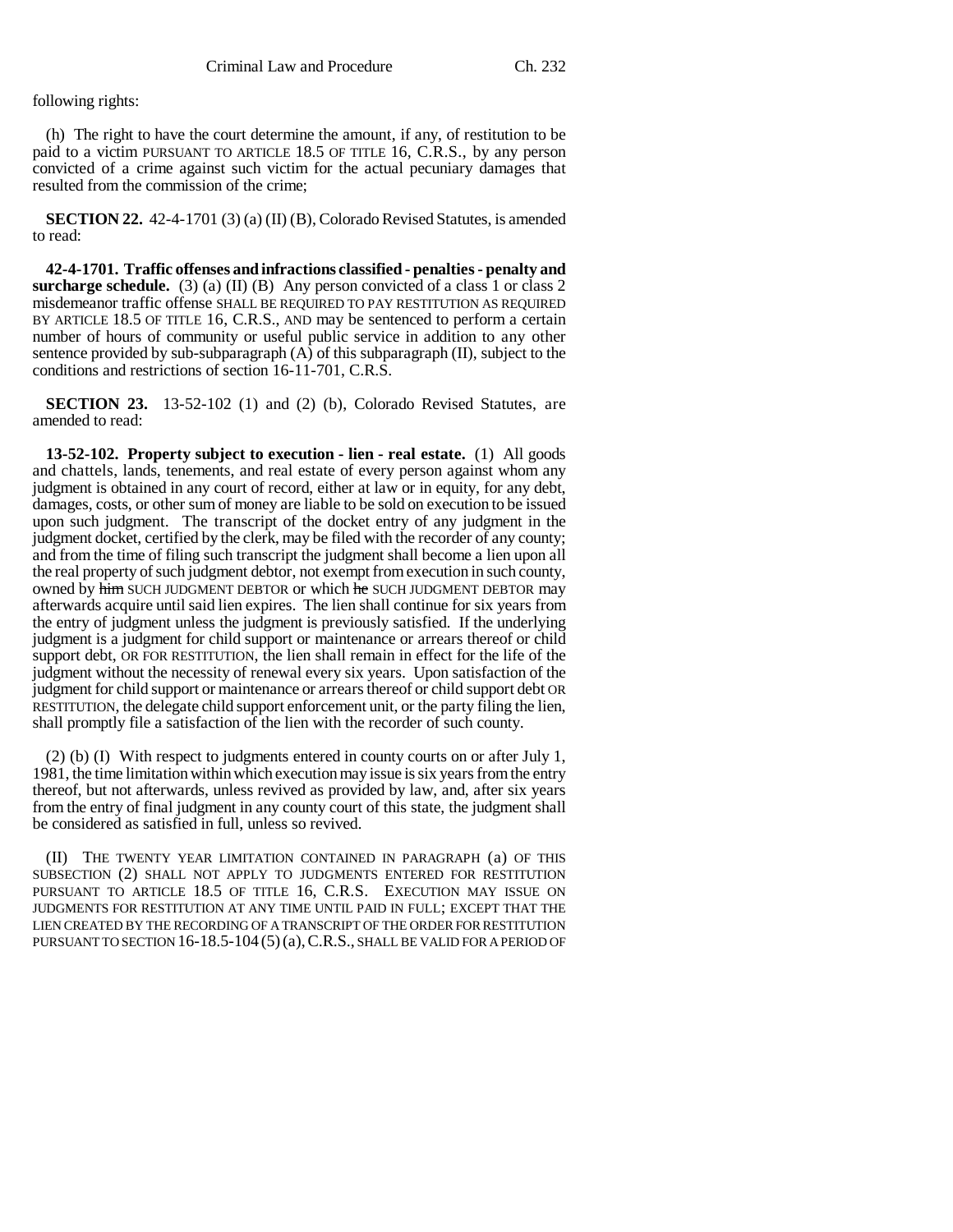following rights:

(h) The right to have the court determine the amount, if any, of restitution to be paid to a victim PURSUANT TO ARTICLE 18.5 OF TITLE 16, C.R.S., by any person convicted of a crime against such victim for the actual pecuniary damages that resulted from the commission of the crime;

**SECTION 22.** 42-4-1701 (3) (a) (II) (B), Colorado Revised Statutes, is amended to read:

**42-4-1701. Traffic offenses and infractions classified - penalties - penalty and surcharge schedule.** (3) (a) (II) (B) Any person convicted of a class 1 or class 2 misdemeanor traffic offense SHALL BE REQUIRED TO PAY RESTITUTION AS REQUIRED BY ARTICLE 18.5 OF TITLE 16, C.R.S., AND may be sentenced to perform a certain number of hours of community or useful public service in addition to any other sentence provided by sub-subparagraph  $(A)$  of this subparagraph  $(II)$ , subject to the conditions and restrictions of section 16-11-701, C.R.S.

**SECTION 23.** 13-52-102 (1) and (2) (b), Colorado Revised Statutes, are amended to read:

**13-52-102. Property subject to execution - lien - real estate.** (1) All goods and chattels, lands, tenements, and real estate of every person against whom any judgment is obtained in any court of record, either at law or in equity, for any debt, damages, costs, or other sum of money are liable to be sold on execution to be issued upon such judgment. The transcript of the docket entry of any judgment in the judgment docket, certified by the clerk, may be filed with the recorder of any county; and from the time of filing such transcript the judgment shall become a lien upon all the real property of such judgment debtor, not exempt from execution in such county, owned by him SUCH JUDGMENT DEBTOR or which he SUCH JUDGMENT DEBTOR may afterwards acquire until said lien expires. The lien shall continue for six years from the entry of judgment unless the judgment is previously satisfied. If the underlying judgment is a judgment for child support or maintenance or arrears thereof or child support debt, OR FOR RESTITUTION, the lien shall remain in effect for the life of the judgment without the necessity of renewal every six years. Upon satisfaction of the judgment for child support or maintenance or arrears thereof or child support debt OR RESTITUTION, the delegate child support enforcement unit, or the party filing the lien, shall promptly file a satisfaction of the lien with the recorder of such county.

(2) (b) (I) With respect to judgments entered in county courts on or after July 1, 1981, the time limitation within which execution may issue is six years from the entry thereof, but not afterwards, unless revived as provided by law, and, after six years from the entry of final judgment in any county court of this state, the judgment shall be considered as satisfied in full, unless so revived.

(II) THE TWENTY YEAR LIMITATION CONTAINED IN PARAGRAPH (a) OF THIS SUBSECTION (2) SHALL NOT APPLY TO JUDGMENTS ENTERED FOR RESTITUTION PURSUANT TO ARTICLE 18.5 OF TITLE 16, C.R.S. EXECUTION MAY ISSUE ON JUDGMENTS FOR RESTITUTION AT ANY TIME UNTIL PAID IN FULL; EXCEPT THAT THE LIEN CREATED BY THE RECORDING OF A TRANSCRIPT OF THE ORDER FOR RESTITUTION PURSUANT TO SECTION 16-18.5-104 (5)(a), C.R.S., SHALL BE VALID FOR A PERIOD OF